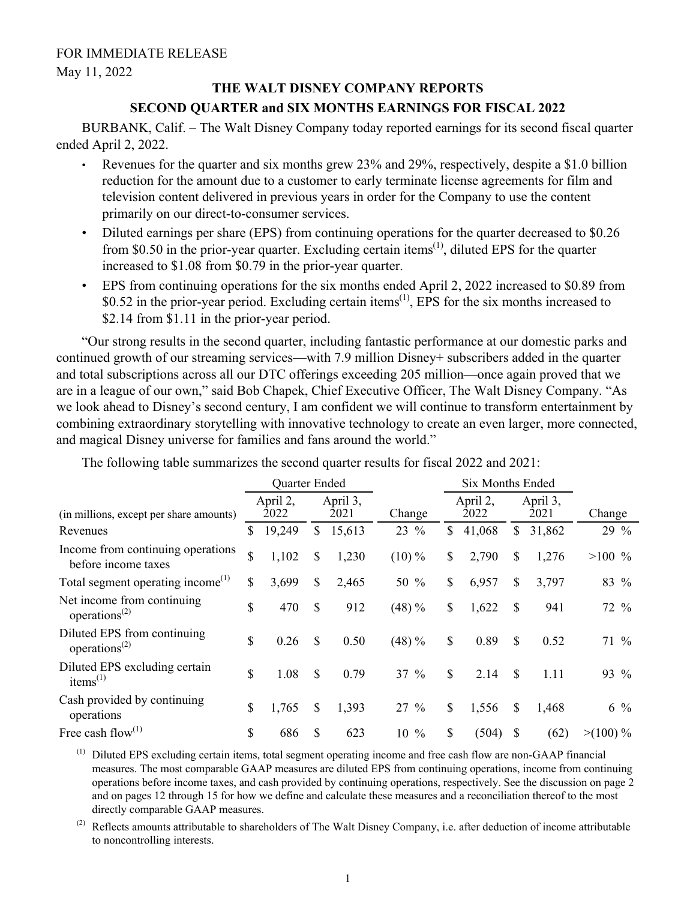May 11, 2022

# **THE WALT DISNEY COMPANY REPORTS**

# **SECOND QUARTER and SIX MONTHS EARNINGS FOR FISCAL 2022**

BURBANK, Calif. – The Walt Disney Company today reported earnings for its second fiscal quarter ended April 2, 2022.

- Revenues for the quarter and six months grew 23% and 29%, respectively, despite a \$1.0 billion reduction for the amount due to a customer to early terminate license agreements for film and television content delivered in previous years in order for the Company to use the content primarily on our direct-to-consumer services.
- Diluted earnings per share (EPS) from continuing operations for the quarter decreased to \$0.26 from \$0.50 in the prior-year quarter. Excluding certain items<sup> $(1)$ </sup>, diluted EPS for the quarter increased to \$1.08 from \$0.79 in the prior-year quarter.
- EPS from continuing operations for the six months ended April 2, 2022 increased to \$0.89 from \$0.52 in the prior-year period. Excluding certain items<sup> $(1)$ </sup>, EPS for the six months increased to \$2.14 from \$1.11 in the prior-year period.

"Our strong results in the second quarter, including fantastic performance at our domestic parks and continued growth of our streaming services—with 7.9 million Disney+ subscribers added in the quarter and total subscriptions across all our DTC offerings exceeding 205 million—once again proved that we are in a league of our own," said Bob Chapek, Chief Executive Officer, The Walt Disney Company. "As we look ahead to Disney's second century, I am confident we will continue to transform entertainment by combining extraordinary storytelling with innovative technology to create an even larger, more connected, and magical Disney universe for families and fans around the world."

|                                                                       | Quarter Ended    |              |                  | <b>Six Months Ended</b> |                  |        |                  |        |            |
|-----------------------------------------------------------------------|------------------|--------------|------------------|-------------------------|------------------|--------|------------------|--------|------------|
| (in millions, except per share amounts)                               | April 2,<br>2022 |              | April 3,<br>2021 | Change                  | April 2,<br>2022 |        | April 3,<br>2021 |        | Change     |
| Revenues                                                              | \$<br>19,249     | $\mathbb{S}$ | 15,613           | 23 %                    | $\mathbb{S}$     | 41,068 | $\mathbb{S}$     | 31,862 | 29 %       |
| Income from continuing operations<br>before income taxes              | \$<br>1,102      | \$           | 1,230            | $(10)\%$                | \$               | 2,790  | \$               | 1,276  | $>100\%$   |
| Total segment operating income <sup>(1)</sup>                         | \$<br>3,699      | $\mathbb{S}$ | 2,465            | 50 %                    | $\mathbb{S}$     | 6,957  | \$               | 3,797  | 83 %       |
| Net income from continuing<br>operations <sup><math>(2)</math></sup>  | \$<br>470        | $\mathbb{S}$ | 912              | $(48) \%$               | \$               | 1,622  | \$               | 941    | 72 %       |
| Diluted EPS from continuing<br>operations <sup><math>(2)</math></sup> | \$<br>0.26       | \$           | 0.50             | $(48) \%$               | \$               | 0.89   | \$               | 0.52   | $71\%$     |
| Diluted EPS excluding certain<br>items $^{(1)}$                       | \$<br>1.08       | \$           | 0.79             | $37 \%$                 | \$               | 2.14   | \$               | 1.11   | 93 %       |
| Cash provided by continuing<br>operations                             | \$<br>1,765      | \$           | 1,393            | $27\%$                  | $\mathbb{S}$     | 1,556  | \$               | 1,468  | $6\%$      |
| Free cash flow $^{(1)}$                                               | \$<br>686        | S            | 623              | $\%$<br>10              | \$               | (504)  | \$               | (62)   | $>(100)\%$ |

The following table summarizes the second quarter results for fiscal 2022 and 2021:

(1) Diluted EPS excluding certain items, total segment operating income and free cash flow are non-GAAP financial measures. The most comparable GAAP measures are diluted EPS from continuing operations, income from continuing operations before income taxes, and cash provided by continuing operations, respectively. See the discussion on page 2 and on pages 12 through 15 for how we define and calculate these measures and a reconciliation thereof to the most directly comparable GAAP measures.

 $^{(2)}$  Reflects amounts attributable to shareholders of The Walt Disney Company, i.e. after deduction of income attributable to noncontrolling interests.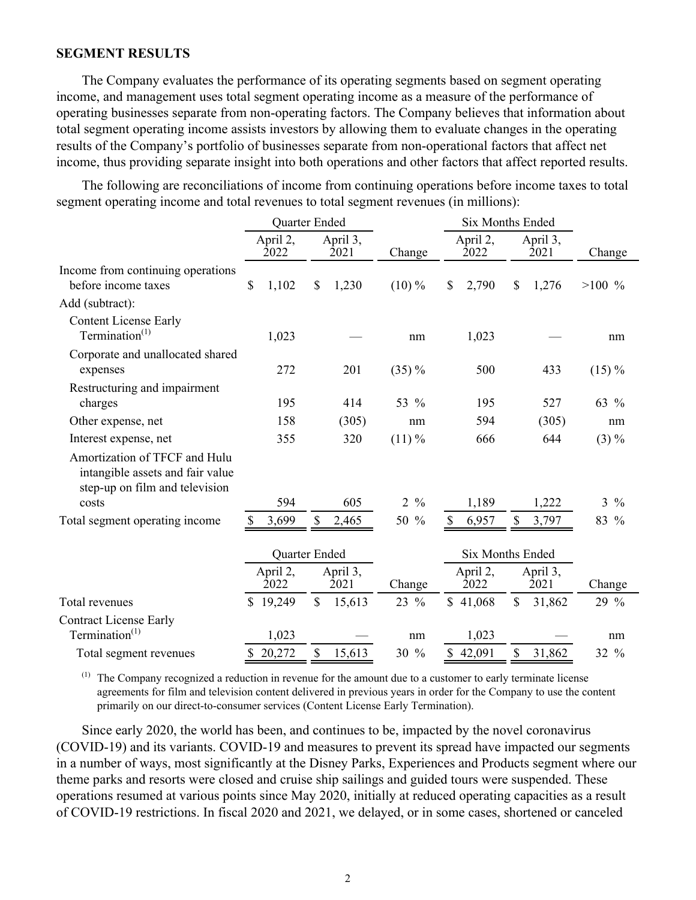## **SEGMENT RESULTS**

The Company evaluates the performance of its operating segments based on segment operating income, and management uses total segment operating income as a measure of the performance of operating businesses separate from non-operating factors. The Company believes that information about total segment operating income assists investors by allowing them to evaluate changes in the operating results of the Company's portfolio of businesses separate from non-operational factors that affect net income, thus providing separate insight into both operations and other factors that affect reported results.

The following are reconciliations of income from continuing operations before income taxes to total segment operating income and total revenues to total segment revenues (in millions):

|                                                                                                     |              | Quarter Ended    |                                                 |                  |                                 | Six Months Ended |                  |                                                                 |                |                |
|-----------------------------------------------------------------------------------------------------|--------------|------------------|-------------------------------------------------|------------------|---------------------------------|------------------|------------------|-----------------------------------------------------------------|----------------|----------------|
|                                                                                                     |              | April 2,<br>2022 |                                                 | April 3,<br>2021 | Change                          |                  | April 2,<br>2022 | April 3,<br>2021                                                |                | Change         |
| Income from continuing operations<br>before income taxes                                            | $\mathbb{S}$ | 1,102            | \$                                              | 1,230            | $(10)\%$                        | $\mathbb{S}$     | 2,790            | \$                                                              | 1,276          | $>100\%$       |
| Add (subtract):                                                                                     |              |                  |                                                 |                  |                                 |                  |                  |                                                                 |                |                |
| <b>Content License Early</b><br>Termination $(1)$                                                   |              | 1,023            |                                                 |                  | nm                              |                  | 1,023            |                                                                 |                | nm             |
| Corporate and unallocated shared<br>expenses                                                        |              | 272              |                                                 | 201              | $(35) \%$                       |                  | 500              |                                                                 | 433            | $(15)\%$       |
| Restructuring and impairment<br>charges                                                             |              | 195              |                                                 | 414              | 53 %                            |                  | 195              |                                                                 | 527            | 63 %           |
| Other expense, net                                                                                  |              | 158              |                                                 | (305)            | nm                              |                  | 594              |                                                                 | (305)          | nm             |
| Interest expense, net                                                                               |              | 355              |                                                 | 320              | $(11)\%$                        |                  | 666              |                                                                 | 644            | $(3) \%$       |
| Amortization of TFCF and Hulu<br>intangible assets and fair value<br>step-up on film and television |              | 594              |                                                 | 605              | $\frac{0}{0}$<br>$\overline{2}$ |                  |                  |                                                                 |                | $3\frac{9}{6}$ |
| costs                                                                                               |              | 3,699            |                                                 |                  | 50 %                            | \$               | 1,189<br>6,957   | \$                                                              | 1,222<br>3,797 | 83 %           |
| Total segment operating income                                                                      |              | April 2,<br>2022 | S<br>2,465<br>Quarter Ended<br>April 3,<br>2021 |                  | Change                          |                  |                  | <b>Six Months Ended</b><br>April 2,<br>April 3,<br>2022<br>2021 |                | Change         |
| Total revenues                                                                                      |              | 19,249           | \$                                              | 15,613           | 23 %                            |                  | \$41,068         | $\mathbb{S}$                                                    | 31,862         | 29 %           |
| <b>Contract License Early</b><br>Termination $(1)$                                                  |              | 1,023            |                                                 |                  | nm                              |                  | 1,023            |                                                                 |                | nm             |
| Total segment revenues                                                                              |              | \$20,272         | \$                                              | 15,613           | 30 %                            |                  | \$42,091         | \$                                                              | 31,862         | 32 %           |

(1) The Company recognized a reduction in revenue for the amount due to a customer to early terminate license agreements for film and television content delivered in previous years in order for the Company to use the content primarily on our direct-to-consumer services (Content License Early Termination).

Since early 2020, the world has been, and continues to be, impacted by the novel coronavirus (COVID-19) and its variants. COVID-19 and measures to prevent its spread have impacted our segments in a number of ways, most significantly at the Disney Parks, Experiences and Products segment where our theme parks and resorts were closed and cruise ship sailings and guided tours were suspended. These operations resumed at various points since May 2020, initially at reduced operating capacities as a result of COVID-19 restrictions. In fiscal 2020 and 2021, we delayed, or in some cases, shortened or canceled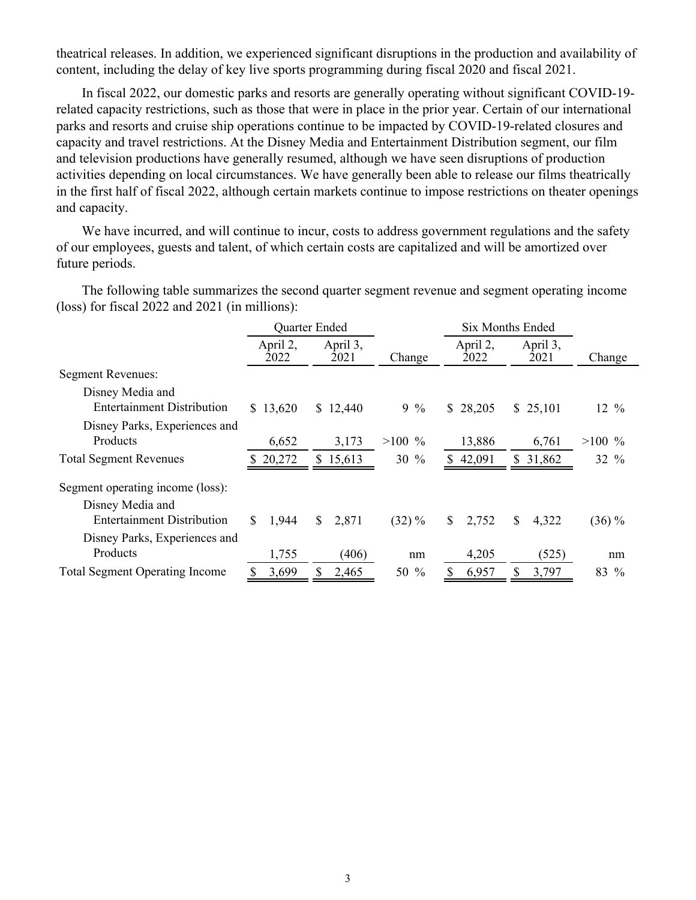theatrical releases. In addition, we experienced significant disruptions in the production and availability of content, including the delay of key live sports programming during fiscal 2020 and fiscal 2021.

In fiscal 2022, our domestic parks and resorts are generally operating without significant COVID-19 related capacity restrictions, such as those that were in place in the prior year. Certain of our international parks and resorts and cruise ship operations continue to be impacted by COVID-19-related closures and capacity and travel restrictions. At the Disney Media and Entertainment Distribution segment, our film and television productions have generally resumed, although we have seen disruptions of production activities depending on local circumstances. We have generally been able to release our films theatrically in the first half of fiscal 2022, although certain markets continue to impose restrictions on theater openings and capacity.

We have incurred, and will continue to incur, costs to address government regulations and the safety of our employees, guests and talent, of which certain costs are capitalized and will be amortized over future periods.

The following table summarizes the second quarter segment revenue and segment operating income (loss) for fiscal 2022 and 2021 (in millions):

|                                       |                  | Quarter Ended    |           | <b>Six Months Ended</b> |                  |                  |
|---------------------------------------|------------------|------------------|-----------|-------------------------|------------------|------------------|
|                                       | April 2,<br>2022 | April 3,<br>2021 | Change    | April 2,<br>2022        | April 3,<br>2021 | Change           |
| <b>Segment Revenues:</b>              |                  |                  |           |                         |                  |                  |
| Disney Media and                      |                  |                  |           |                         |                  |                  |
| <b>Entertainment Distribution</b>     | \$13,620         | \$12,440         | $9\%$     | \$28,205                | \$25,101         | $12 \frac{9}{6}$ |
| Disney Parks, Experiences and         |                  |                  |           |                         |                  |                  |
| Products                              | 6,652            | 3,173            | $>100\%$  | 13,886                  | 6,761            | $>100\%$         |
| <b>Total Segment Revenues</b>         | 20,272           | \$15,613         | $30 \%$   | 42,091<br>S.            | \$31,862         | $32 \%$          |
| Segment operating income (loss):      |                  |                  |           |                         |                  |                  |
| Disney Media and                      |                  |                  |           |                         |                  |                  |
| <b>Entertainment Distribution</b>     | 1,944<br>\$      | 2,871<br>\$      | $(32) \%$ | 2,752<br>\$             | 4,322<br>\$      | $(36)\%$         |
| Disney Parks, Experiences and         |                  |                  |           |                         |                  |                  |
| Products                              | 1,755            | (406)            | nm        | 4,205                   | (525)            | nm               |
| <b>Total Segment Operating Income</b> | 3,699            | 2,465            | 50 %      | 6,957                   | 3,797            | 83 %             |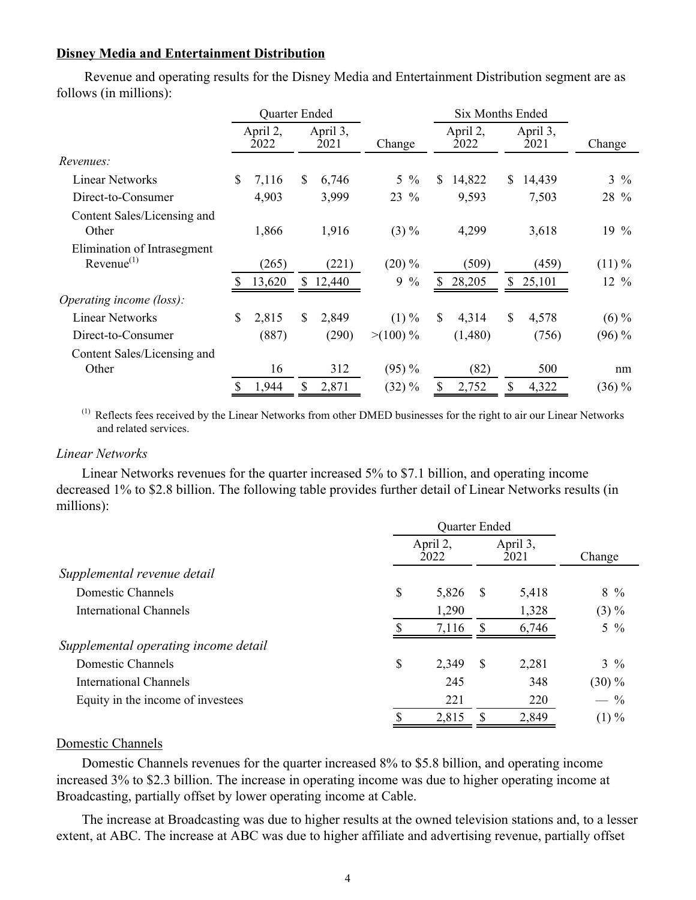## **Disney Media and Entertainment Distribution**

Revenue and operating results for the Disney Media and Entertainment Distribution segment are as follows (in millions):

|                                                       |    | Quarter Ended    |    |                  |                    | <b>Six Months Ended</b> |                  |              |                  |                  |
|-------------------------------------------------------|----|------------------|----|------------------|--------------------|-------------------------|------------------|--------------|------------------|------------------|
|                                                       |    | April 2,<br>2022 |    | April 3,<br>2021 | Change             |                         | April 2,<br>2022 |              | April 3,<br>2021 | Change           |
| Revenues:                                             |    |                  |    |                  |                    |                         |                  |              |                  |                  |
| <b>Linear Networks</b>                                | \$ | 7,116            | \$ | 6,746            | $5\frac{9}{6}$     | \$                      | 14,822           | \$           | 14,439           | $3\frac{9}{6}$   |
| Direct-to-Consumer                                    |    | 4,903            |    | 3,999            | 23 %               |                         | 9,593            |              | 7,503            | 28 %             |
| Content Sales/Licensing and<br>Other                  |    | 1,866            |    | 1,916            | $(3) \%$           |                         | 4,299            |              | 3,618            | $19\%$           |
| Elimination of Intrasegment<br>Revenue <sup>(1)</sup> |    | (265)            |    | (221)            | $(20)\%$           |                         | (509)            |              | (459)            | $(11)\%$         |
|                                                       |    | 13,620           |    | 12,440           | $\frac{0}{0}$<br>9 | S                       | 28,205           | \$           | 25,101           | $12 \frac{9}{6}$ |
| Operating income (loss):                              |    |                  |    |                  |                    |                         |                  |              |                  |                  |
| <b>Linear Networks</b>                                | \$ | 2,815            | \$ | 2,849            | $(1) \%$           | \$.                     | 4,314            | <sup>S</sup> | 4,578            | $(6) \%$         |
| Direct-to-Consumer                                    |    | (887)            |    | (290)            | $>(100)\%$         |                         | (1,480)          |              | (756)            | $(96) \%$        |
| Content Sales/Licensing and                           |    |                  |    |                  |                    |                         |                  |              |                  |                  |
| Other                                                 |    | 16               |    | 312              | $(95) \%$          |                         | (82)             |              | 500              | nm               |
|                                                       | S  | 1,944            | S  | 2,871            | $(32) \%$          | S                       | 2,752            | \$           | 4,322            | $(36)\%$         |

(1) Reflects fees received by the Linear Networks from other DMED businesses for the right to air our Linear Networks and related services.

### *Linear Networks*

Linear Networks revenues for the quarter increased 5% to \$7.1 billion, and operating income decreased 1% to \$2.8 billion. The following table provides further detail of Linear Networks results (in millions):

|                                      | April 2,<br>2022 |       |    | April 3,<br>2021 | Change         |
|--------------------------------------|------------------|-------|----|------------------|----------------|
| Supplemental revenue detail          |                  |       |    |                  |                |
| Domestic Channels                    | \$               | 5,826 | -S | 5,418            | $8\%$          |
| <b>International Channels</b>        |                  | 1,290 |    | 1,328            | $(3) \%$       |
|                                      |                  | 7,116 |    | 6,746            | $5\frac{9}{6}$ |
| Supplemental operating income detail |                  |       |    |                  |                |
| Domestic Channels                    | \$               | 2,349 | -S | 2,281            | $3\frac{9}{6}$ |
| <b>International Channels</b>        |                  | 245   |    | 348              | $(30)\%$       |
| Equity in the income of investees    |                  | 221   |    | 220              | $-$ %          |
|                                      |                  | 2,815 |    | 2,849            | $(1) \%$       |

## Domestic Channels

Domestic Channels revenues for the quarter increased 8% to \$5.8 billion, and operating income increased 3% to \$2.3 billion. The increase in operating income was due to higher operating income at Broadcasting, partially offset by lower operating income at Cable.

The increase at Broadcasting was due to higher results at the owned television stations and, to a lesser extent, at ABC. The increase at ABC was due to higher affiliate and advertising revenue, partially offset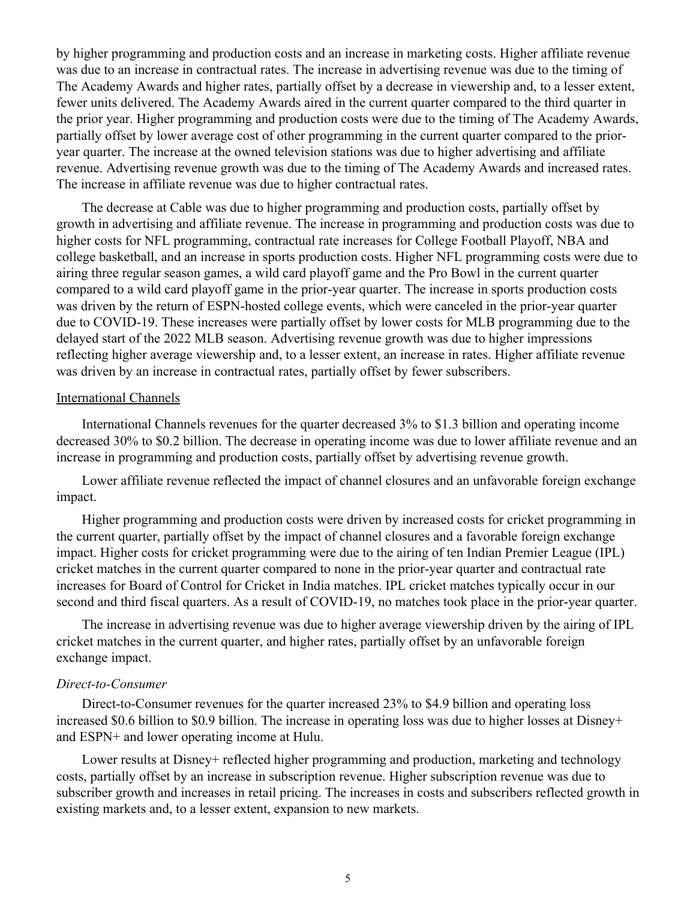by higher programming and production costs and an increase in marketing costs. Higher affiliate revenue was due to an increase in contractual rates. The increase in advertising revenue was due to the timing of The Academy Awards and higher rates, partially offset by a decrease in viewership and, to a lesser extent, fewer units delivered. The Academy Awards aired in the current quarter compared to the third quarter in the prior year. Higher programming and production costs were due to the timing of The Academy Awards, partially offset by lower average cost of other programming in the current quarter compared to the prioryear quarter. The increase at the owned television stations was due to higher advertising and affiliate revenue. Advertising revenue growth was due to the timing of The Academy Awards and increased rates. The increase in affiliate revenue was due to higher contractual rates.

The decrease at Cable was due to higher programming and production costs, partially offset by growth in advertising and affiliate revenue. The increase in programming and production costs was due to higher costs for NFL programming, contractual rate increases for College Football Playoff, NBA and college basketball, and an increase in sports production costs. Higher NFL programming costs were due to airing three regular season games, a wild card playoff game and the Pro Bowl in the current quarter compared to a wild card playoff game in the prior-year quarter. The increase in sports production costs was driven by the return of ESPN-hosted college events, which were canceled in the prior-year quarter due to COVID-19. These increases were partially offset by lower costs for MLB programming due to the delayed start of the 2022 MLB season. Advertising revenue growth was due to higher impressions reflecting higher average viewership and, to a lesser extent, an increase in rates. Higher affiliate revenue was driven by an increase in contractual rates, partially offset by fewer subscribers.

#### International Channels

International Channels revenues for the quarter decreased 3% to \$1.3 billion and operating income decreased 30% to \$0.2 billion. The decrease in operating income was due to lower affiliate revenue and an increase in programming and production costs, partially offset by advertising revenue growth.

Lower affiliate revenue reflected the impact of channel closures and an unfavorable foreign exchange impact.

Higher programming and production costs were driven by increased costs for cricket programming in the current quarter, partially offset by the impact of channel closures and a favorable foreign exchange impact. Higher costs for cricket programming were due to the airing of ten Indian Premier League (IPL) cricket matches in the current quarter compared to none in the prior-year quarter and contractual rate increases for Board of Control for Cricket in India matches. IPL cricket matches typically occur in our second and third fiscal quarters. As a result of COVID-19, no matches took place in the prior-year quarter.

The increase in advertising revenue was due to higher average viewership driven by the airing of IPL cricket matches in the current quarter, and higher rates, partially offset by an unfavorable foreign exchange impact.

#### *Direct-to-Consumer*

Direct-to-Consumer revenues for the quarter increased 23% to \$4.9 billion and operating loss increased \$0.6 billion to \$0.9 billion. The increase in operating loss was due to higher losses at Disney+ and ESPN+ and lower operating income at Hulu.

Lower results at Disney+ reflected higher programming and production, marketing and technology costs, partially offset by an increase in subscription revenue. Higher subscription revenue was due to subscriber growth and increases in retail pricing. The increases in costs and subscribers reflected growth in existing markets and, to a lesser extent, expansion to new markets.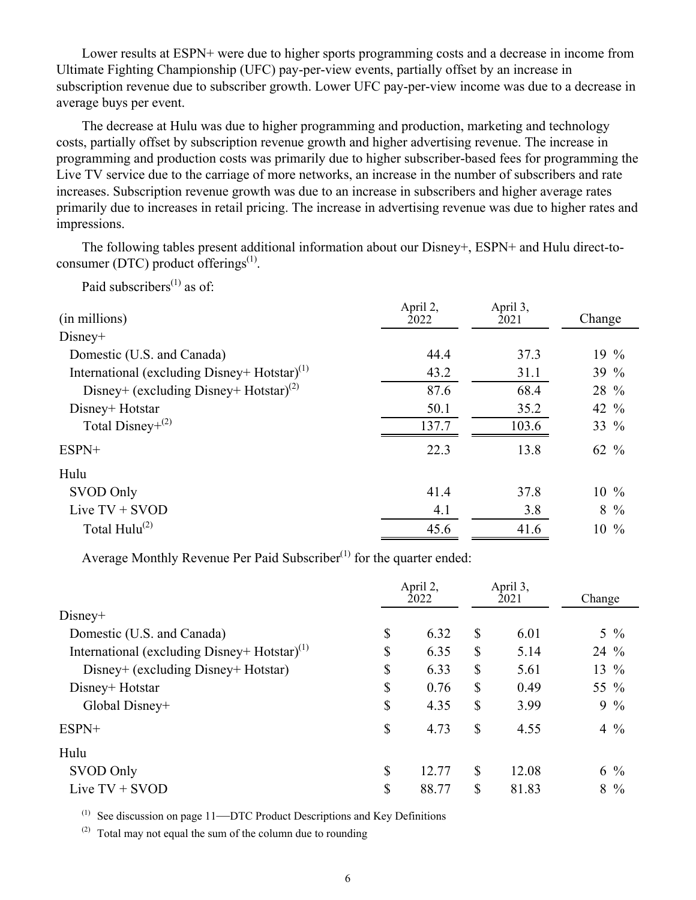Lower results at ESPN+ were due to higher sports programming costs and a decrease in income from Ultimate Fighting Championship (UFC) pay-per-view events, partially offset by an increase in subscription revenue due to subscriber growth. Lower UFC pay-per-view income was due to a decrease in average buys per event.

The decrease at Hulu was due to higher programming and production, marketing and technology costs, partially offset by subscription revenue growth and higher advertising revenue. The increase in programming and production costs was primarily due to higher subscriber-based fees for programming the Live TV service due to the carriage of more networks, an increase in the number of subscribers and rate increases. Subscription revenue growth was due to an increase in subscribers and higher average rates primarily due to increases in retail pricing. The increase in advertising revenue was due to higher rates and impressions.

The following tables present additional information about our Disney+, ESPN+ and Hulu direct-toconsumer (DTC) product offerings $^{(1)}$ .

Paid subscribers<sup> $(1)$ </sup> as of:

| (in millions)                                            | April 2,<br>2022 | April 3,<br>2021 | Change           |
|----------------------------------------------------------|------------------|------------------|------------------|
| $Disney+$                                                |                  |                  |                  |
| Domestic (U.S. and Canada)                               | 44.4             | 37.3             | 19 $%$           |
| International (excluding Disney+ Hotstar) <sup>(1)</sup> | 43.2             | 31.1             | 39 %             |
| Disney+ (excluding Disney+ Hotstar) <sup>(2)</sup>       | 87.6             | 68.4             | 28 %             |
| Disney+ Hotstar                                          | 50.1             | 35.2             | 42 $\frac{9}{6}$ |
| Total Disney+ $(2)$                                      | 137.7            | 103.6            | 33 %             |
| ESPN+                                                    | 22.3             | 13.8             | 62 $\frac{9}{6}$ |
| Hulu                                                     |                  |                  |                  |
| SVOD Only                                                | 41.4             | 37.8             | $10\%$           |
| Live $TV + SVOD$                                         | 4.1              | 3.8              | $8\frac{9}{6}$   |
| Total $Hulu^{(2)}$                                       | 45.6             | 41.6             | $10\%$           |

Average Monthly Revenue Per Paid Subscriber $(1)$  for the quarter ended:

|                                                          | April 2,<br>2022 |              | April 3,<br>2021 | Change |                |
|----------------------------------------------------------|------------------|--------------|------------------|--------|----------------|
| $Disney+$                                                |                  |              |                  |        |                |
| Domestic (U.S. and Canada)                               | \$<br>6.32       | \$           | 6.01             |        | $5\frac{9}{6}$ |
| International (excluding Disney+ Hotstar) <sup>(1)</sup> | \$<br>6.35       | $\mathbb{S}$ | 5.14             | 24 %   |                |
| Disney+ (excluding Disney+ Hotstar)                      | \$<br>6.33       | $\mathbb{S}$ | 5.61             |        | 13 $%$         |
| Disney+ Hotstar                                          | \$<br>0.76       | $\mathbb{S}$ | 0.49             | 55 %   |                |
| Global Disney+                                           | \$<br>4.35       | $\mathbb{S}$ | 3.99             |        | $9\%$          |
| ESPN+                                                    | \$<br>4.73       | \$           | 4.55             |        | $4\frac{9}{6}$ |
| Hulu                                                     |                  |              |                  |        |                |
| SVOD Only                                                | \$<br>12.77      | \$           | 12.08            |        | $6\frac{9}{6}$ |
| Live $TV + SVOD$                                         | \$<br>88.77      | \$           | 81.83            |        | $8\frac{9}{6}$ |

 $(1)$  See discussion on page 11—DTC Product Descriptions and Key Definitions

(2) Total may not equal the sum of the column due to rounding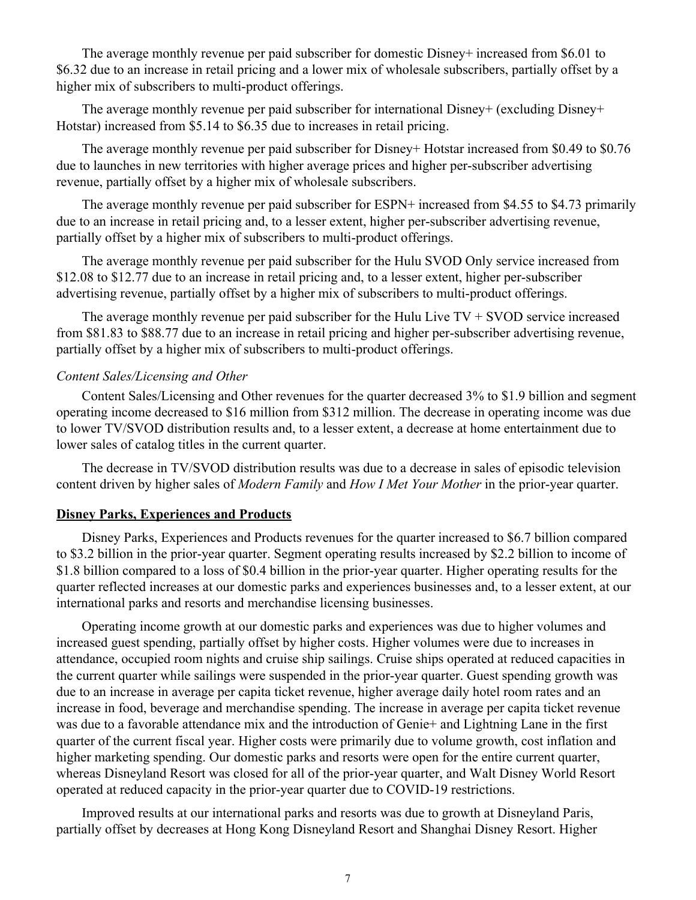The average monthly revenue per paid subscriber for domestic Disney+ increased from \$6.01 to \$6.32 due to an increase in retail pricing and a lower mix of wholesale subscribers, partially offset by a higher mix of subscribers to multi-product offerings.

The average monthly revenue per paid subscriber for international Disney+ (excluding Disney+ Hotstar) increased from \$5.14 to \$6.35 due to increases in retail pricing.

The average monthly revenue per paid subscriber for Disney+ Hotstar increased from \$0.49 to \$0.76 due to launches in new territories with higher average prices and higher per-subscriber advertising revenue, partially offset by a higher mix of wholesale subscribers.

The average monthly revenue per paid subscriber for ESPN+ increased from \$4.55 to \$4.73 primarily due to an increase in retail pricing and, to a lesser extent, higher per-subscriber advertising revenue, partially offset by a higher mix of subscribers to multi-product offerings.

The average monthly revenue per paid subscriber for the Hulu SVOD Only service increased from \$12.08 to \$12.77 due to an increase in retail pricing and, to a lesser extent, higher per-subscriber advertising revenue, partially offset by a higher mix of subscribers to multi-product offerings.

The average monthly revenue per paid subscriber for the Hulu Live  $TV + S VOD$  service increased from \$81.83 to \$88.77 due to an increase in retail pricing and higher per-subscriber advertising revenue, partially offset by a higher mix of subscribers to multi-product offerings.

## *Content Sales/Licensing and Other*

Content Sales/Licensing and Other revenues for the quarter decreased 3% to \$1.9 billion and segment operating income decreased to \$16 million from \$312 million. The decrease in operating income was due to lower TV/SVOD distribution results and, to a lesser extent, a decrease at home entertainment due to lower sales of catalog titles in the current quarter.

The decrease in TV/SVOD distribution results was due to a decrease in sales of episodic television content driven by higher sales of *Modern Family* and *How I Met Your Mother* in the prior-year quarter.

### **Disney Parks, Experiences and Products**

Disney Parks, Experiences and Products revenues for the quarter increased to \$6.7 billion compared to \$3.2 billion in the prior-year quarter. Segment operating results increased by \$2.2 billion to income of \$1.8 billion compared to a loss of \$0.4 billion in the prior-year quarter. Higher operating results for the quarter reflected increases at our domestic parks and experiences businesses and, to a lesser extent, at our international parks and resorts and merchandise licensing businesses.

Operating income growth at our domestic parks and experiences was due to higher volumes and increased guest spending, partially offset by higher costs. Higher volumes were due to increases in attendance, occupied room nights and cruise ship sailings. Cruise ships operated at reduced capacities in the current quarter while sailings were suspended in the prior-year quarter. Guest spending growth was due to an increase in average per capita ticket revenue, higher average daily hotel room rates and an increase in food, beverage and merchandise spending. The increase in average per capita ticket revenue was due to a favorable attendance mix and the introduction of Genie+ and Lightning Lane in the first quarter of the current fiscal year. Higher costs were primarily due to volume growth, cost inflation and higher marketing spending. Our domestic parks and resorts were open for the entire current quarter, whereas Disneyland Resort was closed for all of the prior-year quarter, and Walt Disney World Resort operated at reduced capacity in the prior-year quarter due to COVID-19 restrictions.

Improved results at our international parks and resorts was due to growth at Disneyland Paris, partially offset by decreases at Hong Kong Disneyland Resort and Shanghai Disney Resort. Higher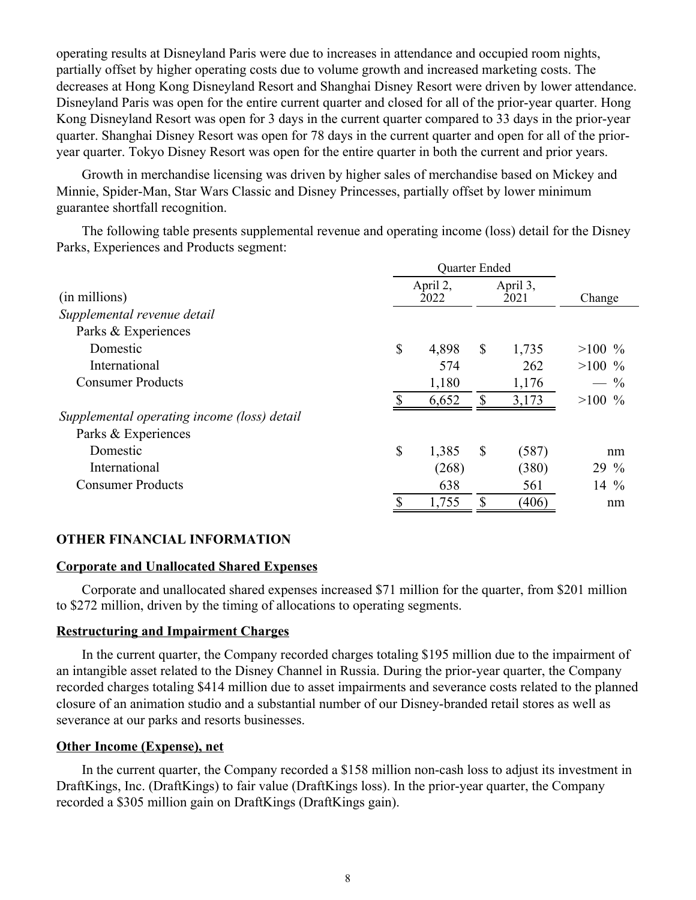operating results at Disneyland Paris were due to increases in attendance and occupied room nights, partially offset by higher operating costs due to volume growth and increased marketing costs. The decreases at Hong Kong Disneyland Resort and Shanghai Disney Resort were driven by lower attendance. Disneyland Paris was open for the entire current quarter and closed for all of the prior-year quarter. Hong Kong Disneyland Resort was open for 3 days in the current quarter compared to 33 days in the prior-year quarter. Shanghai Disney Resort was open for 78 days in the current quarter and open for all of the prioryear quarter. Tokyo Disney Resort was open for the entire quarter in both the current and prior years.

Growth in merchandise licensing was driven by higher sales of merchandise based on Mickey and Minnie, Spider-Man, Star Wars Classic and Disney Princesses, partially offset by lower minimum guarantee shortfall recognition.

The following table presents supplemental revenue and operating income (loss) detail for the Disney Parks, Experiences and Products segment:

|                                             |                           | Quarter Ended |                  |          |  |
|---------------------------------------------|---------------------------|---------------|------------------|----------|--|
| (in millions)                               | April 2,<br>2022          |               | April 3,<br>2021 | Change   |  |
| Supplemental revenue detail                 |                           |               |                  |          |  |
| Parks & Experiences                         |                           |               |                  |          |  |
| Domestic                                    | $\boldsymbol{\mathsf{S}}$ | 4,898         | \$<br>1,735      | $>100\%$ |  |
| International                               |                           | 574           | 262              | $>100\%$ |  |
| <b>Consumer Products</b>                    |                           | 1,180         | 1,176            | $-$ %    |  |
|                                             | S                         | 6,652         | \$<br>3,173      | $>100\%$ |  |
| Supplemental operating income (loss) detail |                           |               |                  |          |  |
| Parks & Experiences                         |                           |               |                  |          |  |
| Domestic                                    | \$                        | 1,385         | \$<br>(587)      | nm       |  |
| International                               |                           | (268)         | (380)            | 29 %     |  |
| <b>Consumer Products</b>                    |                           | 638           | 561              | 14 $\%$  |  |
|                                             |                           | 1,755         | (406)            | nm       |  |

## **OTHER FINANCIAL INFORMATION**

## **Corporate and Unallocated Shared Expenses**

Corporate and unallocated shared expenses increased \$71 million for the quarter, from \$201 million to \$272 million, driven by the timing of allocations to operating segments.

## **Restructuring and Impairment Charges**

In the current quarter, the Company recorded charges totaling \$195 million due to the impairment of an intangible asset related to the Disney Channel in Russia. During the prior-year quarter, the Company recorded charges totaling \$414 million due to asset impairments and severance costs related to the planned closure of an animation studio and a substantial number of our Disney-branded retail stores as well as severance at our parks and resorts businesses.

## **Other Income (Expense), net**

In the current quarter, the Company recorded a \$158 million non-cash loss to adjust its investment in DraftKings, Inc. (DraftKings) to fair value (DraftKings loss). In the prior-year quarter, the Company recorded a \$305 million gain on DraftKings (DraftKings gain).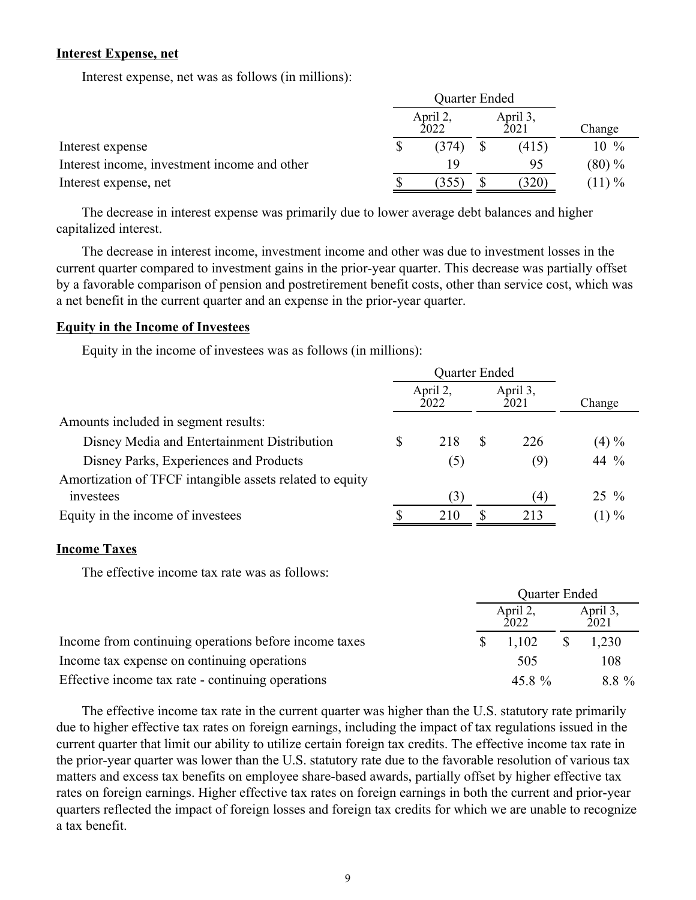### **Interest Expense, net**

Interest expense, net was as follows (in millions):

|                                              |  | April 2,<br>2022 | April 3,<br>2021 | Change   |
|----------------------------------------------|--|------------------|------------------|----------|
| Interest expense                             |  | (374)            | (415)            | $10\%$   |
| Interest income, investment income and other |  | 19               | 95               | $(80)\%$ |
| Interest expense, net                        |  | (355)            | 320)             | $(11)\%$ |

The decrease in interest expense was primarily due to lower average debt balances and higher capitalized interest.

The decrease in interest income, investment income and other was due to investment losses in the current quarter compared to investment gains in the prior-year quarter. This decrease was partially offset by a favorable comparison of pension and postretirement benefit costs, other than service cost, which was a net benefit in the current quarter and an expense in the prior-year quarter.

### **Equity in the Income of Investees**

Equity in the income of investees was as follows (in millions):

|                                                          |                  | Quarter Ended |   |                  |          |
|----------------------------------------------------------|------------------|---------------|---|------------------|----------|
|                                                          | April 2,<br>2022 |               |   | April 3,<br>2021 | Change   |
| Amounts included in segment results:                     |                  |               |   |                  |          |
| Disney Media and Entertainment Distribution              | S                | 218           | S | 226              | $(4) \%$ |
| Disney Parks, Experiences and Products                   |                  | (5)           |   | (9)              | 44 %     |
| Amortization of TFCF intangible assets related to equity |                  |               |   |                  |          |
| investees                                                |                  | (3)           |   | (4)              | $25\%$   |
| Equity in the income of investees                        |                  | 210           |   | 213              | $(1) \%$ |

### **Income Taxes**

The effective income tax rate was as follows:

|                                                       | Quarter Ended |                  |  |                  |  |  |
|-------------------------------------------------------|---------------|------------------|--|------------------|--|--|
|                                                       |               | April 2,<br>2022 |  | April 3,<br>2021 |  |  |
| Income from continuing operations before income taxes |               | 1.102            |  | 1,230            |  |  |
| Income tax expense on continuing operations           |               | 505              |  | 108              |  |  |
| Effective income tax rate - continuing operations     |               | 45.8 %           |  | 8.8 %            |  |  |

The effective income tax rate in the current quarter was higher than the U.S. statutory rate primarily due to higher effective tax rates on foreign earnings, including the impact of tax regulations issued in the current quarter that limit our ability to utilize certain foreign tax credits. The effective income tax rate in the prior-year quarter was lower than the U.S. statutory rate due to the favorable resolution of various tax matters and excess tax benefits on employee share-based awards, partially offset by higher effective tax rates on foreign earnings. Higher effective tax rates on foreign earnings in both the current and prior-year quarters reflected the impact of foreign losses and foreign tax credits for which we are unable to recognize a tax benefit.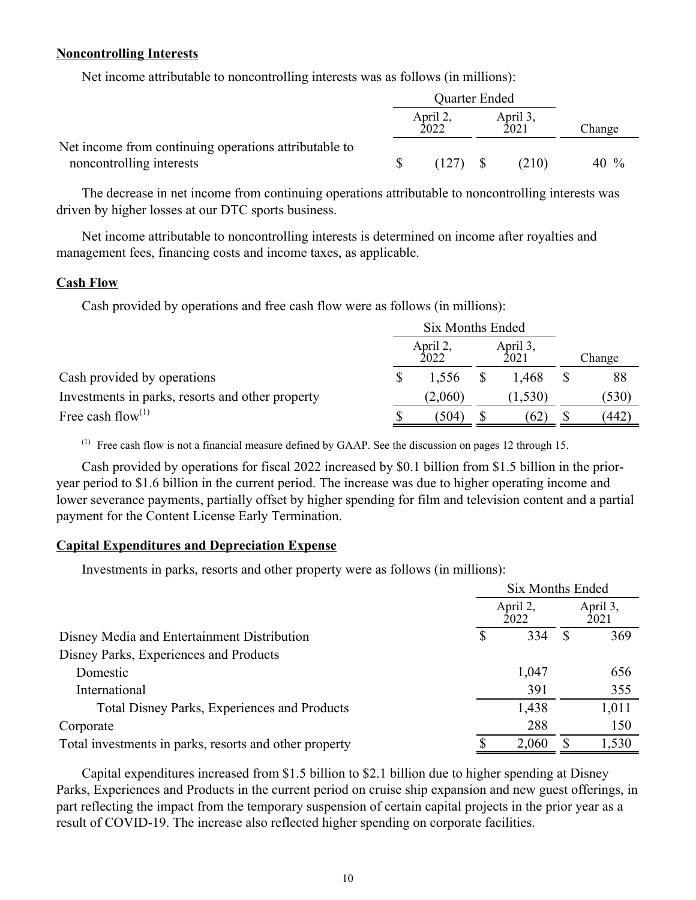### **Noncontrolling Interests**

Net income attributable to noncontrolling interests was as follows (in millions):

|                                                       | Quarter Ended |                  |  |                  |        |  |
|-------------------------------------------------------|---------------|------------------|--|------------------|--------|--|
|                                                       |               | April 2,<br>2022 |  | April 3,<br>2021 | Change |  |
| Net income from continuing operations attributable to |               |                  |  |                  |        |  |
| noncontrolling interests                              |               | (127)            |  | (210)            | 40 %   |  |

The decrease in net income from continuing operations attributable to noncontrolling interests was driven by higher losses at our DTC sports business.

Net income attributable to noncontrolling interests is determined on income after royalties and management fees, financing costs and income taxes, as applicable.

#### **Cash Flow**

Cash provided by operations and free cash flow were as follows (in millions):

|                                                  |  | April 2,<br>2022 | April 3,<br>2021 | Change |  |
|--------------------------------------------------|--|------------------|------------------|--------|--|
| Cash provided by operations                      |  | 1,556            | 1.468            | 88     |  |
| Investments in parks, resorts and other property |  | (2,060)          | (1, 530)         | (530)  |  |
| Free cash flow <sup>(1)</sup>                    |  | (504)            | 62)              | 442    |  |

(1) Free cash flow is not a financial measure defined by GAAP. See the discussion on pages 12 through 15.

Cash provided by operations for fiscal 2022 increased by \$0.1 billion from \$1.5 billion in the prioryear period to \$1.6 billion in the current period. The increase was due to higher operating income and lower severance payments, partially offset by higher spending for film and television content and a partial payment for the Content License Early Termination.

## **Capital Expenditures and Depreciation Expense**

Investments in parks, resorts and other property were as follows (in millions):

|                                                        | Six Months Ended |                  |   |                  |  |  |
|--------------------------------------------------------|------------------|------------------|---|------------------|--|--|
|                                                        |                  | April 2,<br>2022 |   | April 3,<br>2021 |  |  |
| Disney Media and Entertainment Distribution            |                  | 334              |   | 369              |  |  |
| Disney Parks, Experiences and Products                 |                  |                  |   |                  |  |  |
| Domestic                                               |                  | 1,047            |   | 656              |  |  |
| International                                          |                  | 391              |   | 355              |  |  |
| <b>Total Disney Parks, Experiences and Products</b>    |                  | 1,438            |   | 1,011            |  |  |
| Corporate                                              |                  | 288              |   | 150              |  |  |
| Total investments in parks, resorts and other property |                  | 2,060            | S | 1,530            |  |  |

Capital expenditures increased from \$1.5 billion to \$2.1 billion due to higher spending at Disney Parks, Experiences and Products in the current period on cruise ship expansion and new guest offerings, in part reflecting the impact from the temporary suspension of certain capital projects in the prior year as a result of COVID-19. The increase also reflected higher spending on corporate facilities.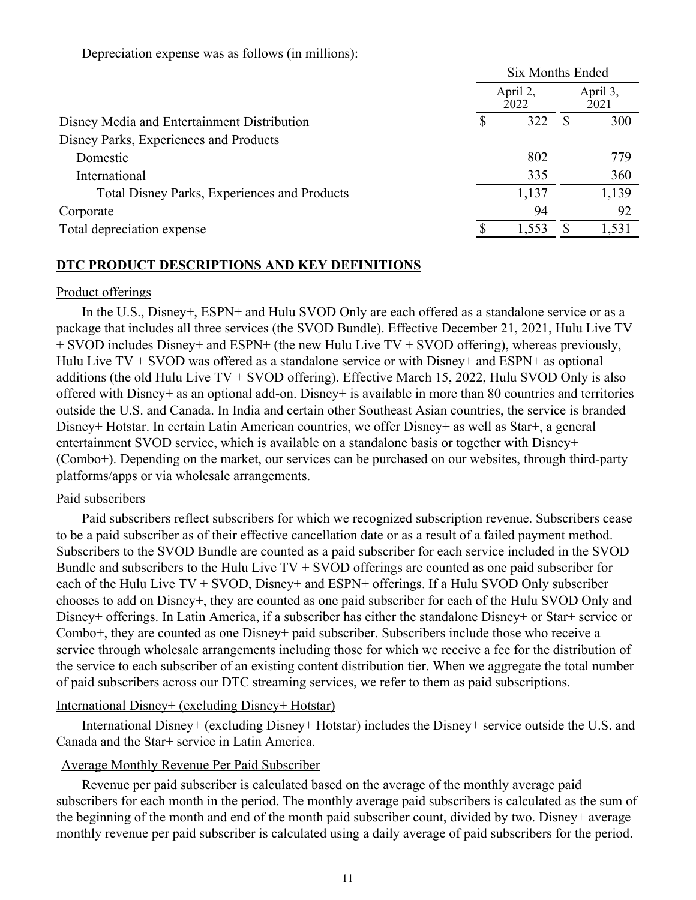Depreciation expense was as follows (in millions):

|                                              | <b>Six Months Ended</b> |  |                  |  |  |  |  |
|----------------------------------------------|-------------------------|--|------------------|--|--|--|--|
|                                              | April 2,<br>2022        |  | April 3,<br>2021 |  |  |  |  |
| Disney Media and Entertainment Distribution  | 322                     |  | 300              |  |  |  |  |
| Disney Parks, Experiences and Products       |                         |  |                  |  |  |  |  |
| Domestic                                     | 802                     |  | 779              |  |  |  |  |
| International                                | 335                     |  | 360              |  |  |  |  |
| Total Disney Parks, Experiences and Products | 1,137                   |  | 1,139            |  |  |  |  |
| Corporate                                    | 94                      |  | 92               |  |  |  |  |
| Total depreciation expense                   | 1,553                   |  | 1,531            |  |  |  |  |
|                                              |                         |  |                  |  |  |  |  |

## **DTC PRODUCT DESCRIPTIONS AND KEY DEFINITIONS**

### Product offerings

In the U.S., Disney+, ESPN+ and Hulu SVOD Only are each offered as a standalone service or as a package that includes all three services (the SVOD Bundle). Effective December 21, 2021, Hulu Live TV + SVOD includes Disney+ and ESPN+ (the new Hulu Live TV + SVOD offering), whereas previously, Hulu Live  $TV + SVOD$  was offered as a standalone service or with Disney+ and ESPN+ as optional additions (the old Hulu Live TV + SVOD offering). Effective March 15, 2022, Hulu SVOD Only is also offered with Disney+ as an optional add-on. Disney+ is available in more than 80 countries and territories outside the U.S. and Canada. In India and certain other Southeast Asian countries, the service is branded Disney+ Hotstar. In certain Latin American countries, we offer Disney+ as well as Star+, a general entertainment SVOD service, which is available on a standalone basis or together with Disney+ (Combo+). Depending on the market, our services can be purchased on our websites, through third-party platforms/apps or via wholesale arrangements.

### Paid subscribers

Paid subscribers reflect subscribers for which we recognized subscription revenue. Subscribers cease to be a paid subscriber as of their effective cancellation date or as a result of a failed payment method. Subscribers to the SVOD Bundle are counted as a paid subscriber for each service included in the SVOD Bundle and subscribers to the Hulu Live  $TV + S VOD$  offerings are counted as one paid subscriber for each of the Hulu Live TV + SVOD, Disney+ and ESPN+ offerings. If a Hulu SVOD Only subscriber chooses to add on Disney+, they are counted as one paid subscriber for each of the Hulu SVOD Only and Disney+ offerings. In Latin America, if a subscriber has either the standalone Disney+ or Star+ service or Combo+, they are counted as one Disney+ paid subscriber. Subscribers include those who receive a service through wholesale arrangements including those for which we receive a fee for the distribution of the service to each subscriber of an existing content distribution tier. When we aggregate the total number of paid subscribers across our DTC streaming services, we refer to them as paid subscriptions.

### International Disney+ (excluding Disney+ Hotstar)

International Disney+ (excluding Disney+ Hotstar) includes the Disney+ service outside the U.S. and Canada and the Star+ service in Latin America.

### Average Monthly Revenue Per Paid Subscriber

Revenue per paid subscriber is calculated based on the average of the monthly average paid subscribers for each month in the period. The monthly average paid subscribers is calculated as the sum of the beginning of the month and end of the month paid subscriber count, divided by two. Disney+ average monthly revenue per paid subscriber is calculated using a daily average of paid subscribers for the period.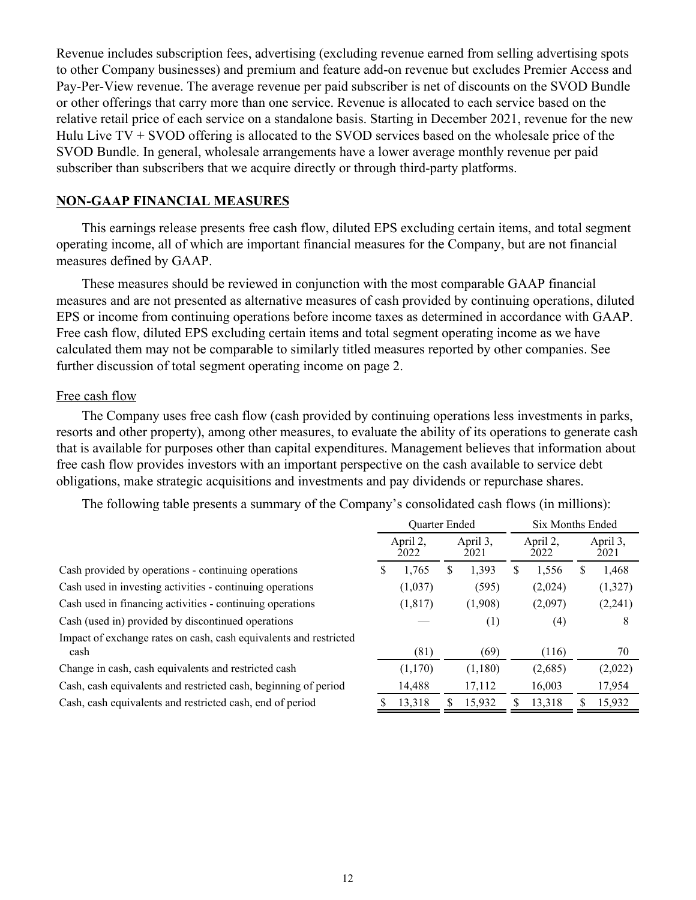Revenue includes subscription fees, advertising (excluding revenue earned from selling advertising spots to other Company businesses) and premium and feature add-on revenue but excludes Premier Access and Pay-Per-View revenue. The average revenue per paid subscriber is net of discounts on the SVOD Bundle or other offerings that carry more than one service. Revenue is allocated to each service based on the relative retail price of each service on a standalone basis. Starting in December 2021, revenue for the new Hulu Live  $TV + S VOD$  offering is allocated to the SVOD services based on the wholesale price of the SVOD Bundle. In general, wholesale arrangements have a lower average monthly revenue per paid subscriber than subscribers that we acquire directly or through third-party platforms.

### **NON-GAAP FINANCIAL MEASURES**

This earnings release presents free cash flow, diluted EPS excluding certain items, and total segment operating income, all of which are important financial measures for the Company, but are not financial measures defined by GAAP.

These measures should be reviewed in conjunction with the most comparable GAAP financial measures and are not presented as alternative measures of cash provided by continuing operations, diluted EPS or income from continuing operations before income taxes as determined in accordance with GAAP. Free cash flow, diluted EPS excluding certain items and total segment operating income as we have calculated them may not be comparable to similarly titled measures reported by other companies. See further discussion of total segment operating income on page 2.

### Free cash flow

The Company uses free cash flow (cash provided by continuing operations less investments in parks, resorts and other property), among other measures, to evaluate the ability of its operations to generate cash that is available for purposes other than capital expenditures. Management believes that information about free cash flow provides investors with an important perspective on the cash available to service debt obligations, make strategic acquisitions and investments and pay dividends or repurchase shares.

The following table presents a summary of the Company's consolidated cash flows (in millions):

|                                                                           | Quarter Ended |                  |                  |         |                  | Six Months Ended |                  |         |
|---------------------------------------------------------------------------|---------------|------------------|------------------|---------|------------------|------------------|------------------|---------|
|                                                                           |               | April 2,<br>2022 | April 3,<br>2021 |         | April 2,<br>2022 |                  | April 3.<br>2021 |         |
| Cash provided by operations - continuing operations                       | N.            | 1,765            | S                | 1,393   | У                | 1,556            |                  | 1,468   |
| Cash used in investing activities - continuing operations                 |               | (1,037)          |                  | (595)   |                  | (2,024)          |                  | (1,327) |
| Cash used in financing activities - continuing operations                 |               | (1, 817)         |                  | (1,908) |                  | (2,097)          |                  | (2,241) |
| Cash (used in) provided by discontinued operations                        |               |                  |                  | (1)     |                  | (4)              |                  | 8       |
| Impact of exchange rates on cash, cash equivalents and restricted<br>cash |               | (81)             |                  | (69)    |                  | (116)            |                  | 70      |
| Change in cash, cash equivalents and restricted cash                      |               | (1,170)          |                  | (1,180) |                  | (2,685)          |                  | (2,022) |
| Cash, cash equivalents and restricted cash, beginning of period           |               | 14,488           |                  | 17,112  |                  | 16,003           |                  | 17,954  |
| Cash, cash equivalents and restricted cash, end of period                 |               | 13.318           | S                | 15,932  |                  | 13,318           |                  | 15,932  |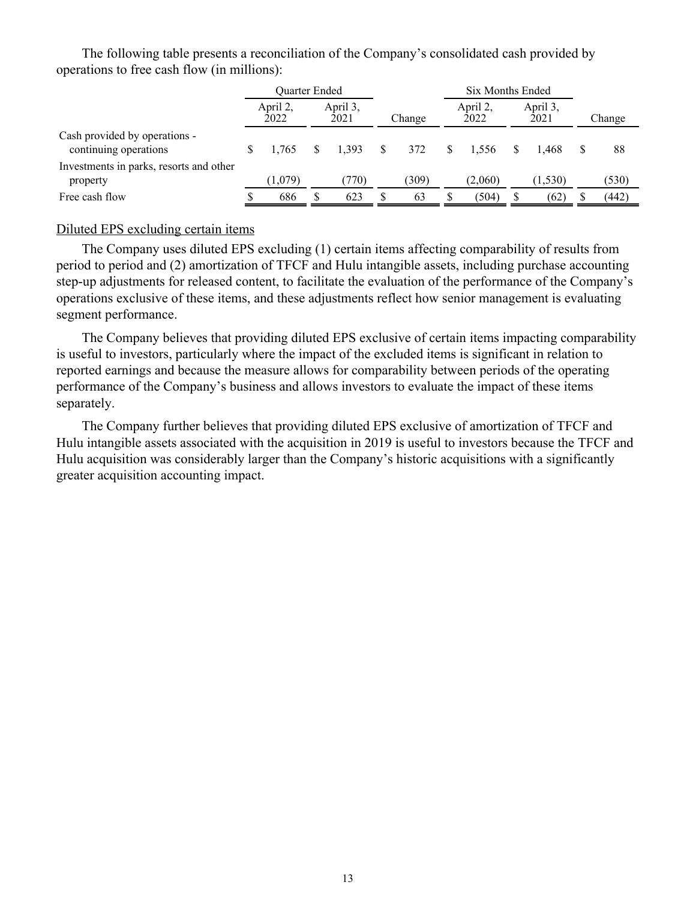The following table presents a reconciliation of the Company's consolidated cash provided by operations to free cash flow (in millions):

|                                                        | Quarter Ended    |     |                  |              |        | Six Months Ended |                  |        |
|--------------------------------------------------------|------------------|-----|------------------|--------------|--------|------------------|------------------|--------|
|                                                        | April 2,<br>2022 |     | April 3,<br>2021 |              | Change | April 2,<br>2022 | April 3,<br>2021 | Change |
| Cash provided by operations -<br>continuing operations | 1.765            | \$. | 1.393            | <sup>S</sup> | 372    | 1.556            | 1.468            | 88     |
| Investments in parks, resorts and other<br>property    | (1,079)          |     | (770)            |              | (309)  | (2,060)          | (1,530)          | (530)  |
| Free cash flow                                         | 686              |     | 623              |              | 63     | (504)            | (62)             | (442)  |

### Diluted EPS excluding certain items

The Company uses diluted EPS excluding (1) certain items affecting comparability of results from period to period and (2) amortization of TFCF and Hulu intangible assets, including purchase accounting step-up adjustments for released content, to facilitate the evaluation of the performance of the Company's operations exclusive of these items, and these adjustments reflect how senior management is evaluating segment performance.

The Company believes that providing diluted EPS exclusive of certain items impacting comparability is useful to investors, particularly where the impact of the excluded items is significant in relation to reported earnings and because the measure allows for comparability between periods of the operating performance of the Company's business and allows investors to evaluate the impact of these items separately.

The Company further believes that providing diluted EPS exclusive of amortization of TFCF and Hulu intangible assets associated with the acquisition in 2019 is useful to investors because the TFCF and Hulu acquisition was considerably larger than the Company's historic acquisitions with a significantly greater acquisition accounting impact.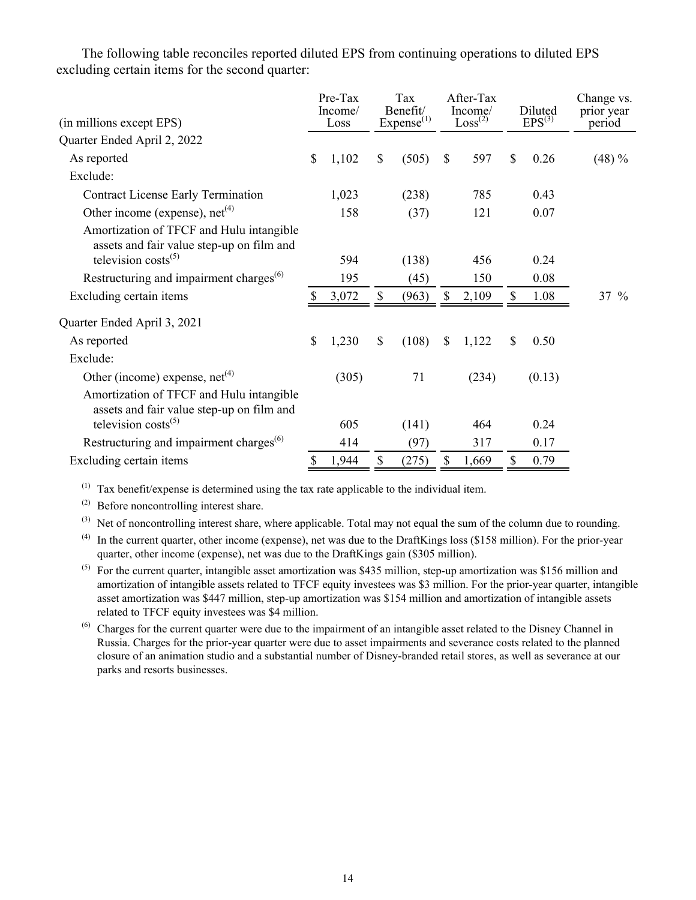The following table reconciles reported diluted EPS from continuing operations to diluted EPS excluding certain items for the second quarter:

| (in millions except EPS)                                                                                          | Pre-Tax<br>Income/<br>Loss | Tax<br>Benefit/<br>Expense <sup>(1)</sup> |              | After-Tax<br>Income/<br>Loss <sup>(2)</sup> | Diluted<br>$EPS^{(3)}$ | Change vs.<br>prior year<br>period |
|-------------------------------------------------------------------------------------------------------------------|----------------------------|-------------------------------------------|--------------|---------------------------------------------|------------------------|------------------------------------|
| Quarter Ended April 2, 2022                                                                                       |                            |                                           |              |                                             |                        |                                    |
| As reported                                                                                                       | \$<br>1,102                | \$<br>(505)                               | \$           | 597                                         | \$<br>0.26             | $(48) \%$                          |
| Exclude:                                                                                                          |                            |                                           |              |                                             |                        |                                    |
| Contract License Early Termination                                                                                | 1,023                      | (238)                                     |              | 785                                         | 0.43                   |                                    |
| Other income (expense), $net(4)$                                                                                  | 158                        | (37)                                      |              | 121                                         | 0.07                   |                                    |
| Amortization of TFCF and Hulu intangible<br>assets and fair value step-up on film and                             |                            |                                           |              |                                             |                        |                                    |
| television $costs^{(5)}$                                                                                          | 594                        | (138)                                     |              | 456                                         | 0.24                   |                                    |
| Restructuring and impairment charges <sup>(6)</sup>                                                               | 195                        | (45)                                      |              | 150                                         | 0.08                   |                                    |
| Excluding certain items                                                                                           | 3,072                      | \$<br>(963)                               | \$           | 2,109                                       | 1.08                   | $37 \%$                            |
| Quarter Ended April 3, 2021                                                                                       |                            |                                           |              |                                             |                        |                                    |
| As reported                                                                                                       | \$<br>1,230                | \$<br>(108)                               | \$           | 1,122                                       | \$<br>0.50             |                                    |
| Exclude:                                                                                                          |                            |                                           |              |                                             |                        |                                    |
| Other (income) expense, $net(4)$                                                                                  | (305)                      | 71                                        |              | (234)                                       | (0.13)                 |                                    |
| Amortization of TFCF and Hulu intangible<br>assets and fair value step-up on film and<br>television $costs^{(5)}$ | 605                        | (141)                                     |              | 464                                         | 0.24                   |                                    |
| Restructuring and impairment charges <sup>(6)</sup>                                                               | 414                        | (97)                                      |              | 317                                         | 0.17                   |                                    |
|                                                                                                                   | \$                         | \$                                        | $\mathbb{S}$ |                                             | \$                     |                                    |
| Excluding certain items                                                                                           | 1,944                      | (275)                                     |              | 1,669                                       | 0.79                   |                                    |

 $(1)$  Tax benefit/expense is determined using the tax rate applicable to the individual item.

(2) Before noncontrolling interest share.

(3) Net of noncontrolling interest share, where applicable. Total may not equal the sum of the column due to rounding.

 $(4)$  In the current quarter, other income (expense), net was due to the DraftKings loss (\$158 million). For the prior-year quarter, other income (expense), net was due to the DraftKings gain (\$305 million).

 $(5)$  For the current quarter, intangible asset amortization was \$435 million, step-up amortization was \$156 million and amortization of intangible assets related to TFCF equity investees was \$3 million. For the prior-year quarter, intangible asset amortization was \$447 million, step-up amortization was \$154 million and amortization of intangible assets related to TFCF equity investees was \$4 million.

(6) Charges for the current quarter were due to the impairment of an intangible asset related to the Disney Channel in Russia. Charges for the prior-year quarter were due to asset impairments and severance costs related to the planned closure of an animation studio and a substantial number of Disney-branded retail stores, as well as severance at our parks and resorts businesses.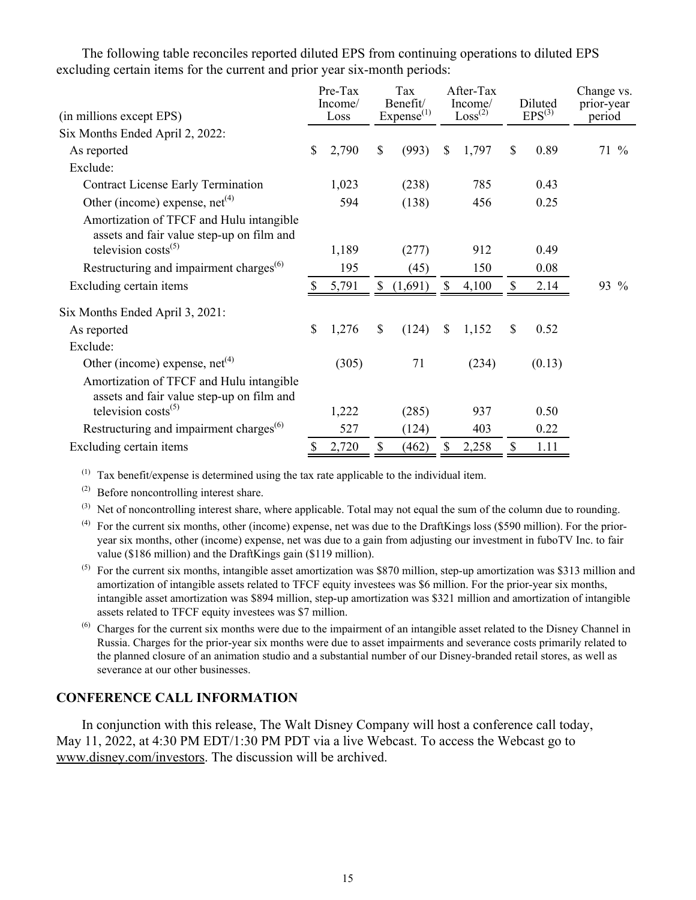The following table reconciles reported diluted EPS from continuing operations to diluted EPS excluding certain items for the current and prior year six-month periods:

| (in millions except EPS)                                                              | Pre-Tax<br>Income/<br>Loss |              | Tax<br>Benefit/<br>Expense <sup>(1)</sup> | After-Tax<br>Income/<br>Loss <sup>(2)</sup> |    | Diluted<br>$EPS^{(3)}$ | Change vs.<br>prior-year<br>period |
|---------------------------------------------------------------------------------------|----------------------------|--------------|-------------------------------------------|---------------------------------------------|----|------------------------|------------------------------------|
| Six Months Ended April 2, 2022:                                                       |                            |              |                                           |                                             |    |                        |                                    |
| As reported                                                                           | \$<br>2,790                | $\mathbb{S}$ | (993)                                     | \$<br>1,797                                 | S  | 0.89                   | $71\%$                             |
| Exclude:                                                                              |                            |              |                                           |                                             |    |                        |                                    |
| <b>Contract License Early Termination</b>                                             | 1,023                      |              | (238)                                     | 785                                         |    | 0.43                   |                                    |
| Other (income) expense, $net(4)$                                                      | 594                        |              | (138)                                     | 456                                         |    | 0.25                   |                                    |
| Amortization of TFCF and Hulu intangible<br>assets and fair value step-up on film and |                            |              |                                           |                                             |    |                        |                                    |
| television $costs^{(5)}$                                                              | 1,189                      |              | (277)                                     | 912                                         |    | 0.49                   |                                    |
| Restructuring and impairment charges <sup>(6)</sup>                                   | 195                        |              | (45)                                      | 150                                         |    | 0.08                   |                                    |
| Excluding certain items                                                               | 5,791                      | \$           | (1,691)                                   | \$<br>4,100                                 |    | 2.14                   | 93 %                               |
| Six Months Ended April 3, 2021:                                                       |                            |              |                                           |                                             |    |                        |                                    |
| As reported                                                                           | \$<br>1,276                | $\mathbb{S}$ | (124)                                     | \$<br>1,152                                 | S  | 0.52                   |                                    |
| Exclude:                                                                              |                            |              |                                           |                                             |    |                        |                                    |
| Other (income) expense, $net(4)$                                                      | (305)                      |              | 71                                        | (234)                                       |    | (0.13)                 |                                    |
| Amortization of TFCF and Hulu intangible<br>assets and fair value step-up on film and |                            |              |                                           |                                             |    |                        |                                    |
| television $costs^{(5)}$                                                              | 1,222                      |              | (285)                                     | 937                                         |    | 0.50                   |                                    |
| Restructuring and impairment charges <sup>(6)</sup>                                   | 527                        |              | (124)                                     | 403                                         |    | 0.22                   |                                    |
| Excluding certain items                                                               | \$<br>2,720                | \$           | (462)                                     | \$<br>2,258                                 | \$ | 1.11                   |                                    |

(1) Tax benefit/expense is determined using the tax rate applicable to the individual item.

(2) Before noncontrolling interest share.

 $^{(3)}$  Net of noncontrolling interest share, where applicable. Total may not equal the sum of the column due to rounding.

- $(4)$  For the current six months, other (income) expense, net was due to the DraftKings loss (\$590 million). For the prioryear six months, other (income) expense, net was due to a gain from adjusting our investment in fuboTV Inc. to fair value (\$186 million) and the DraftKings gain (\$119 million).
- $^{(5)}$  For the current six months, intangible asset amortization was \$870 million, step-up amortization was \$313 million and amortization of intangible assets related to TFCF equity investees was \$6 million. For the prior-year six months, intangible asset amortization was \$894 million, step-up amortization was \$321 million and amortization of intangible assets related to TFCF equity investees was \$7 million.
- $<sup>(6)</sup>$  Charges for the current six months were due to the impairment of an intangible asset related to the Disney Channel in</sup> Russia. Charges for the prior-year six months were due to asset impairments and severance costs primarily related to the planned closure of an animation studio and a substantial number of our Disney-branded retail stores, as well as severance at our other businesses.

## **CONFERENCE CALL INFORMATION**

In conjunction with this release, The Walt Disney Company will host a conference call today, May 11, 2022, at 4:30 PM EDT/1:30 PM PDT via a live Webcast. To access the Webcast go to www.disney.com/investors. The discussion will be archived.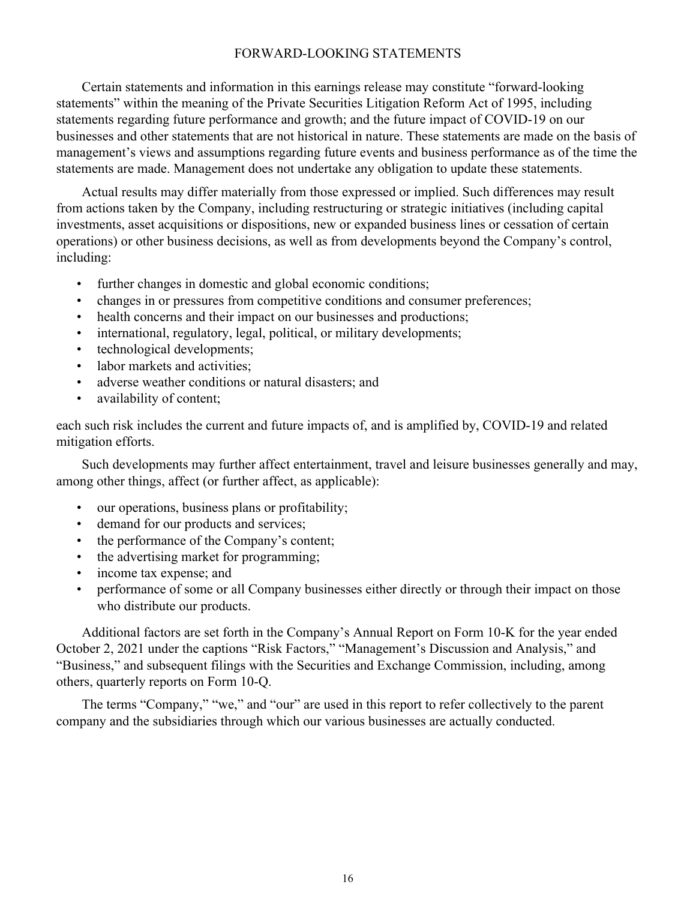## FORWARD-LOOKING STATEMENTS

Certain statements and information in this earnings release may constitute "forward-looking statements" within the meaning of the Private Securities Litigation Reform Act of 1995, including statements regarding future performance and growth; and the future impact of COVID-19 on our businesses and other statements that are not historical in nature. These statements are made on the basis of management's views and assumptions regarding future events and business performance as of the time the statements are made. Management does not undertake any obligation to update these statements.

Actual results may differ materially from those expressed or implied. Such differences may result from actions taken by the Company, including restructuring or strategic initiatives (including capital investments, asset acquisitions or dispositions, new or expanded business lines or cessation of certain operations) or other business decisions, as well as from developments beyond the Company's control, including:

- further changes in domestic and global economic conditions;
- changes in or pressures from competitive conditions and consumer preferences;
- health concerns and their impact on our businesses and productions;
- international, regulatory, legal, political, or military developments;
- technological developments;
- labor markets and activities;
- adverse weather conditions or natural disasters; and
- availability of content;

each such risk includes the current and future impacts of, and is amplified by, COVID-19 and related mitigation efforts.

Such developments may further affect entertainment, travel and leisure businesses generally and may, among other things, affect (or further affect, as applicable):

- our operations, business plans or profitability;
- demand for our products and services;
- the performance of the Company's content;
- the advertising market for programming;
- income tax expense; and
- performance of some or all Company businesses either directly or through their impact on those who distribute our products.

Additional factors are set forth in the Company's Annual Report on Form 10-K for the year ended October 2, 2021 under the captions "Risk Factors," "Management's Discussion and Analysis," and "Business," and subsequent filings with the Securities and Exchange Commission, including, among others, quarterly reports on Form 10-Q.

The terms "Company," "we," and "our" are used in this report to refer collectively to the parent company and the subsidiaries through which our various businesses are actually conducted.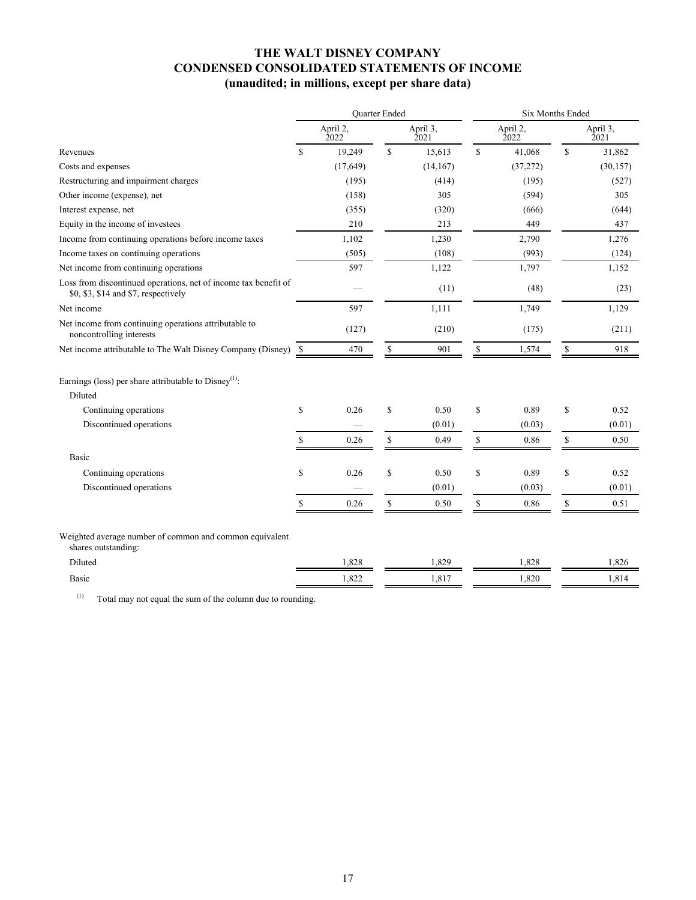## **THE WALT DISNEY COMPANY CONDENSED CONSOLIDATED STATEMENTS OF INCOME (unaudited; in millions, except per share data)**

|                                                                                                         | Quarter Ended |                  |              | <b>Six Months Ended</b> |               |                  |    |                  |
|---------------------------------------------------------------------------------------------------------|---------------|------------------|--------------|-------------------------|---------------|------------------|----|------------------|
|                                                                                                         |               | April 2,<br>2022 |              | April 3,<br>2021        |               | April 2,<br>2022 |    | April 3,<br>2021 |
| Revenues                                                                                                | $\mathbf S$   | 19,249           | \$           | 15,613                  | $\mathbb{S}$  | 41,068           | \$ | 31,862           |
| Costs and expenses                                                                                      |               | (17,649)         |              | (14,167)                |               | (37,272)         |    | (30, 157)        |
| Restructuring and impairment charges                                                                    |               | (195)            |              | (414)                   |               | (195)            |    | (527)            |
| Other income (expense), net                                                                             |               | (158)            |              | 305                     |               | (594)            |    | 305              |
| Interest expense, net                                                                                   |               | (355)            |              | (320)                   |               | (666)            |    | (644)            |
| Equity in the income of investees                                                                       |               | 210              |              | 213                     |               | 449              |    | 437              |
| Income from continuing operations before income taxes                                                   |               | 1,102            |              | 1,230                   |               | 2,790            |    | 1,276            |
| Income taxes on continuing operations                                                                   |               | (505)            |              | (108)                   |               | (993)            |    | (124)            |
| Net income from continuing operations                                                                   |               | 597              |              | 1,122                   |               | 1,797            |    | 1,152            |
| Loss from discontinued operations, net of income tax benefit of<br>\$0, \$3, \$14 and \$7, respectively |               |                  |              | (11)                    |               | (48)             |    | (23)             |
| Net income                                                                                              |               | 597              |              | 1,111                   |               | 1,749            |    | 1,129            |
| Net income from continuing operations attributable to<br>noncontrolling interests                       |               | (127)            |              | (210)                   |               | (175)            |    | (211)            |
| Net income attributable to The Walt Disney Company (Disney)                                             | -\$           | 470              | \$           | 901                     | \$            | 1,574            | \$ | 918              |
| Earnings (loss) per share attributable to Disney <sup>(1)</sup> :<br>Diluted                            |               |                  |              |                         |               |                  |    |                  |
| Continuing operations                                                                                   | $\mathbf S$   | 0.26             | $\mathbb{S}$ | 0.50                    | \$            | 0.89             | \$ | 0.52             |
| Discontinued operations                                                                                 |               |                  |              | (0.01)                  |               | (0.03)           |    | (0.01)           |
|                                                                                                         | \$.           | 0.26             | \$           | 0.49                    | ${\mathbb S}$ | 0.86             | \$ | 0.50             |
| Basic                                                                                                   |               |                  |              |                         |               |                  |    |                  |
| Continuing operations                                                                                   | \$            | 0.26             | \$           | 0.50                    | \$            | 0.89             | \$ | 0.52             |
| Discontinued operations                                                                                 |               |                  |              | (0.01)                  |               | (0.03)           |    | (0.01)           |
|                                                                                                         | $\mathbb{S}$  | 0.26             | \$           | 0.50                    | $\mathbb S$   | 0.86             | \$ | 0.51             |
| Weighted average number of common and common equivalent<br>shares outstanding:                          |               |                  |              |                         |               |                  |    |                  |
| Diluted                                                                                                 |               | 1,828            |              | 1,829                   |               | 1,828            |    | 1,826            |
| Basic                                                                                                   |               | 1,822            |              | 1,817                   |               | 1,820            |    | 1,814            |
|                                                                                                         |               |                  |              |                         |               |                  |    |                  |

(1) Total may not equal the sum of the column due to rounding.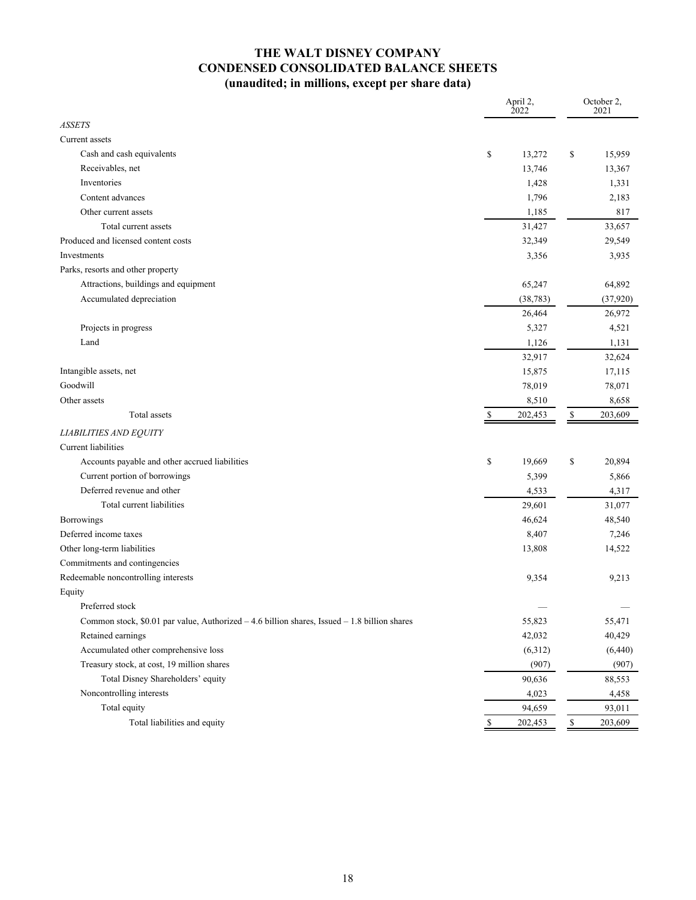## **THE WALT DISNEY COMPANY CONDENSED CONSOLIDATED BALANCE SHEETS (unaudited; in millions, except per share data)**

| <b>ASSETS</b><br>Current assets<br>Cash and cash equivalents<br>\$<br>15,959<br>\$<br>13,272<br>Receivables, net<br>13,746<br>13,367<br>Inventories<br>1,331<br>1,428<br>Content advances<br>1,796<br>2,183<br>817<br>Other current assets<br>1,185<br>Total current assets<br>31,427<br>33,657<br>Produced and licensed content costs<br>32,349<br>29,549<br>Investments<br>3,356<br>3,935<br>Parks, resorts and other property<br>Attractions, buildings and equipment<br>65,247<br>64,892<br>Accumulated depreciation<br>(38, 783)<br>(37, 920)<br>26,464<br>26,972<br>Projects in progress<br>4,521<br>5,327<br>Land<br>1,126<br>1,131<br>32,917<br>32,624<br>Intangible assets, net<br>15,875<br>17,115<br>Goodwill<br>78,019<br>78,071<br>Other assets<br>8,510<br>8,658<br>Total assets<br>\$<br>202,453<br>\$<br>203,609<br><b>LIABILITIES AND EQUITY</b><br>Current liabilities<br>Accounts payable and other accrued liabilities<br>\$<br>19,669<br>\$<br>20,894<br>Current portion of borrowings<br>5,399<br>5,866<br>Deferred revenue and other<br>4,317<br>4,533<br>Total current liabilities<br>29,601<br>31,077<br>Borrowings<br>46,624<br>48,540<br>Deferred income taxes<br>8,407<br>7,246<br>Other long-term liabilities<br>14,522<br>13,808<br>Commitments and contingencies<br>Redeemable noncontrolling interests<br>9,354<br>9,213<br>Equity<br>Preferred stock<br>Common stock, \$0.01 par value, Authorized - 4.6 billion shares, Issued - 1.8 billion shares<br>55,823<br>55,471<br>Retained earnings<br>42,032<br>40,429<br>Accumulated other comprehensive loss<br>(6,312)<br>(6,440)<br>Treasury stock, at cost, 19 million shares<br>(907)<br>(907)<br>Total Disney Shareholders' equity<br>90,636<br>88,553<br>Noncontrolling interests<br>4,023<br>4,458<br>Total equity<br>94,659<br>93,011 |                              | April 2,<br>2022 | October 2,<br>2021 |
|-----------------------------------------------------------------------------------------------------------------------------------------------------------------------------------------------------------------------------------------------------------------------------------------------------------------------------------------------------------------------------------------------------------------------------------------------------------------------------------------------------------------------------------------------------------------------------------------------------------------------------------------------------------------------------------------------------------------------------------------------------------------------------------------------------------------------------------------------------------------------------------------------------------------------------------------------------------------------------------------------------------------------------------------------------------------------------------------------------------------------------------------------------------------------------------------------------------------------------------------------------------------------------------------------------------------------------------------------------------------------------------------------------------------------------------------------------------------------------------------------------------------------------------------------------------------------------------------------------------------------------------------------------------------------------------------------------------------------------------------------------------------------------------------------------------------------------|------------------------------|------------------|--------------------|
|                                                                                                                                                                                                                                                                                                                                                                                                                                                                                                                                                                                                                                                                                                                                                                                                                                                                                                                                                                                                                                                                                                                                                                                                                                                                                                                                                                                                                                                                                                                                                                                                                                                                                                                                                                                                                             |                              |                  |                    |
|                                                                                                                                                                                                                                                                                                                                                                                                                                                                                                                                                                                                                                                                                                                                                                                                                                                                                                                                                                                                                                                                                                                                                                                                                                                                                                                                                                                                                                                                                                                                                                                                                                                                                                                                                                                                                             |                              |                  |                    |
|                                                                                                                                                                                                                                                                                                                                                                                                                                                                                                                                                                                                                                                                                                                                                                                                                                                                                                                                                                                                                                                                                                                                                                                                                                                                                                                                                                                                                                                                                                                                                                                                                                                                                                                                                                                                                             |                              |                  |                    |
|                                                                                                                                                                                                                                                                                                                                                                                                                                                                                                                                                                                                                                                                                                                                                                                                                                                                                                                                                                                                                                                                                                                                                                                                                                                                                                                                                                                                                                                                                                                                                                                                                                                                                                                                                                                                                             |                              |                  |                    |
|                                                                                                                                                                                                                                                                                                                                                                                                                                                                                                                                                                                                                                                                                                                                                                                                                                                                                                                                                                                                                                                                                                                                                                                                                                                                                                                                                                                                                                                                                                                                                                                                                                                                                                                                                                                                                             |                              |                  |                    |
|                                                                                                                                                                                                                                                                                                                                                                                                                                                                                                                                                                                                                                                                                                                                                                                                                                                                                                                                                                                                                                                                                                                                                                                                                                                                                                                                                                                                                                                                                                                                                                                                                                                                                                                                                                                                                             |                              |                  |                    |
|                                                                                                                                                                                                                                                                                                                                                                                                                                                                                                                                                                                                                                                                                                                                                                                                                                                                                                                                                                                                                                                                                                                                                                                                                                                                                                                                                                                                                                                                                                                                                                                                                                                                                                                                                                                                                             |                              |                  |                    |
|                                                                                                                                                                                                                                                                                                                                                                                                                                                                                                                                                                                                                                                                                                                                                                                                                                                                                                                                                                                                                                                                                                                                                                                                                                                                                                                                                                                                                                                                                                                                                                                                                                                                                                                                                                                                                             |                              |                  |                    |
|                                                                                                                                                                                                                                                                                                                                                                                                                                                                                                                                                                                                                                                                                                                                                                                                                                                                                                                                                                                                                                                                                                                                                                                                                                                                                                                                                                                                                                                                                                                                                                                                                                                                                                                                                                                                                             |                              |                  |                    |
|                                                                                                                                                                                                                                                                                                                                                                                                                                                                                                                                                                                                                                                                                                                                                                                                                                                                                                                                                                                                                                                                                                                                                                                                                                                                                                                                                                                                                                                                                                                                                                                                                                                                                                                                                                                                                             |                              |                  |                    |
|                                                                                                                                                                                                                                                                                                                                                                                                                                                                                                                                                                                                                                                                                                                                                                                                                                                                                                                                                                                                                                                                                                                                                                                                                                                                                                                                                                                                                                                                                                                                                                                                                                                                                                                                                                                                                             |                              |                  |                    |
|                                                                                                                                                                                                                                                                                                                                                                                                                                                                                                                                                                                                                                                                                                                                                                                                                                                                                                                                                                                                                                                                                                                                                                                                                                                                                                                                                                                                                                                                                                                                                                                                                                                                                                                                                                                                                             |                              |                  |                    |
|                                                                                                                                                                                                                                                                                                                                                                                                                                                                                                                                                                                                                                                                                                                                                                                                                                                                                                                                                                                                                                                                                                                                                                                                                                                                                                                                                                                                                                                                                                                                                                                                                                                                                                                                                                                                                             |                              |                  |                    |
|                                                                                                                                                                                                                                                                                                                                                                                                                                                                                                                                                                                                                                                                                                                                                                                                                                                                                                                                                                                                                                                                                                                                                                                                                                                                                                                                                                                                                                                                                                                                                                                                                                                                                                                                                                                                                             |                              |                  |                    |
|                                                                                                                                                                                                                                                                                                                                                                                                                                                                                                                                                                                                                                                                                                                                                                                                                                                                                                                                                                                                                                                                                                                                                                                                                                                                                                                                                                                                                                                                                                                                                                                                                                                                                                                                                                                                                             |                              |                  |                    |
|                                                                                                                                                                                                                                                                                                                                                                                                                                                                                                                                                                                                                                                                                                                                                                                                                                                                                                                                                                                                                                                                                                                                                                                                                                                                                                                                                                                                                                                                                                                                                                                                                                                                                                                                                                                                                             |                              |                  |                    |
|                                                                                                                                                                                                                                                                                                                                                                                                                                                                                                                                                                                                                                                                                                                                                                                                                                                                                                                                                                                                                                                                                                                                                                                                                                                                                                                                                                                                                                                                                                                                                                                                                                                                                                                                                                                                                             |                              |                  |                    |
|                                                                                                                                                                                                                                                                                                                                                                                                                                                                                                                                                                                                                                                                                                                                                                                                                                                                                                                                                                                                                                                                                                                                                                                                                                                                                                                                                                                                                                                                                                                                                                                                                                                                                                                                                                                                                             |                              |                  |                    |
|                                                                                                                                                                                                                                                                                                                                                                                                                                                                                                                                                                                                                                                                                                                                                                                                                                                                                                                                                                                                                                                                                                                                                                                                                                                                                                                                                                                                                                                                                                                                                                                                                                                                                                                                                                                                                             |                              |                  |                    |
|                                                                                                                                                                                                                                                                                                                                                                                                                                                                                                                                                                                                                                                                                                                                                                                                                                                                                                                                                                                                                                                                                                                                                                                                                                                                                                                                                                                                                                                                                                                                                                                                                                                                                                                                                                                                                             |                              |                  |                    |
|                                                                                                                                                                                                                                                                                                                                                                                                                                                                                                                                                                                                                                                                                                                                                                                                                                                                                                                                                                                                                                                                                                                                                                                                                                                                                                                                                                                                                                                                                                                                                                                                                                                                                                                                                                                                                             |                              |                  |                    |
|                                                                                                                                                                                                                                                                                                                                                                                                                                                                                                                                                                                                                                                                                                                                                                                                                                                                                                                                                                                                                                                                                                                                                                                                                                                                                                                                                                                                                                                                                                                                                                                                                                                                                                                                                                                                                             |                              |                  |                    |
|                                                                                                                                                                                                                                                                                                                                                                                                                                                                                                                                                                                                                                                                                                                                                                                                                                                                                                                                                                                                                                                                                                                                                                                                                                                                                                                                                                                                                                                                                                                                                                                                                                                                                                                                                                                                                             |                              |                  |                    |
|                                                                                                                                                                                                                                                                                                                                                                                                                                                                                                                                                                                                                                                                                                                                                                                                                                                                                                                                                                                                                                                                                                                                                                                                                                                                                                                                                                                                                                                                                                                                                                                                                                                                                                                                                                                                                             |                              |                  |                    |
|                                                                                                                                                                                                                                                                                                                                                                                                                                                                                                                                                                                                                                                                                                                                                                                                                                                                                                                                                                                                                                                                                                                                                                                                                                                                                                                                                                                                                                                                                                                                                                                                                                                                                                                                                                                                                             |                              |                  |                    |
|                                                                                                                                                                                                                                                                                                                                                                                                                                                                                                                                                                                                                                                                                                                                                                                                                                                                                                                                                                                                                                                                                                                                                                                                                                                                                                                                                                                                                                                                                                                                                                                                                                                                                                                                                                                                                             |                              |                  |                    |
|                                                                                                                                                                                                                                                                                                                                                                                                                                                                                                                                                                                                                                                                                                                                                                                                                                                                                                                                                                                                                                                                                                                                                                                                                                                                                                                                                                                                                                                                                                                                                                                                                                                                                                                                                                                                                             |                              |                  |                    |
|                                                                                                                                                                                                                                                                                                                                                                                                                                                                                                                                                                                                                                                                                                                                                                                                                                                                                                                                                                                                                                                                                                                                                                                                                                                                                                                                                                                                                                                                                                                                                                                                                                                                                                                                                                                                                             |                              |                  |                    |
|                                                                                                                                                                                                                                                                                                                                                                                                                                                                                                                                                                                                                                                                                                                                                                                                                                                                                                                                                                                                                                                                                                                                                                                                                                                                                                                                                                                                                                                                                                                                                                                                                                                                                                                                                                                                                             |                              |                  |                    |
|                                                                                                                                                                                                                                                                                                                                                                                                                                                                                                                                                                                                                                                                                                                                                                                                                                                                                                                                                                                                                                                                                                                                                                                                                                                                                                                                                                                                                                                                                                                                                                                                                                                                                                                                                                                                                             |                              |                  |                    |
|                                                                                                                                                                                                                                                                                                                                                                                                                                                                                                                                                                                                                                                                                                                                                                                                                                                                                                                                                                                                                                                                                                                                                                                                                                                                                                                                                                                                                                                                                                                                                                                                                                                                                                                                                                                                                             |                              |                  |                    |
|                                                                                                                                                                                                                                                                                                                                                                                                                                                                                                                                                                                                                                                                                                                                                                                                                                                                                                                                                                                                                                                                                                                                                                                                                                                                                                                                                                                                                                                                                                                                                                                                                                                                                                                                                                                                                             |                              |                  |                    |
|                                                                                                                                                                                                                                                                                                                                                                                                                                                                                                                                                                                                                                                                                                                                                                                                                                                                                                                                                                                                                                                                                                                                                                                                                                                                                                                                                                                                                                                                                                                                                                                                                                                                                                                                                                                                                             |                              |                  |                    |
|                                                                                                                                                                                                                                                                                                                                                                                                                                                                                                                                                                                                                                                                                                                                                                                                                                                                                                                                                                                                                                                                                                                                                                                                                                                                                                                                                                                                                                                                                                                                                                                                                                                                                                                                                                                                                             |                              |                  |                    |
|                                                                                                                                                                                                                                                                                                                                                                                                                                                                                                                                                                                                                                                                                                                                                                                                                                                                                                                                                                                                                                                                                                                                                                                                                                                                                                                                                                                                                                                                                                                                                                                                                                                                                                                                                                                                                             |                              |                  |                    |
|                                                                                                                                                                                                                                                                                                                                                                                                                                                                                                                                                                                                                                                                                                                                                                                                                                                                                                                                                                                                                                                                                                                                                                                                                                                                                                                                                                                                                                                                                                                                                                                                                                                                                                                                                                                                                             |                              |                  |                    |
|                                                                                                                                                                                                                                                                                                                                                                                                                                                                                                                                                                                                                                                                                                                                                                                                                                                                                                                                                                                                                                                                                                                                                                                                                                                                                                                                                                                                                                                                                                                                                                                                                                                                                                                                                                                                                             |                              |                  |                    |
|                                                                                                                                                                                                                                                                                                                                                                                                                                                                                                                                                                                                                                                                                                                                                                                                                                                                                                                                                                                                                                                                                                                                                                                                                                                                                                                                                                                                                                                                                                                                                                                                                                                                                                                                                                                                                             |                              |                  |                    |
|                                                                                                                                                                                                                                                                                                                                                                                                                                                                                                                                                                                                                                                                                                                                                                                                                                                                                                                                                                                                                                                                                                                                                                                                                                                                                                                                                                                                                                                                                                                                                                                                                                                                                                                                                                                                                             |                              |                  |                    |
|                                                                                                                                                                                                                                                                                                                                                                                                                                                                                                                                                                                                                                                                                                                                                                                                                                                                                                                                                                                                                                                                                                                                                                                                                                                                                                                                                                                                                                                                                                                                                                                                                                                                                                                                                                                                                             |                              |                  |                    |
|                                                                                                                                                                                                                                                                                                                                                                                                                                                                                                                                                                                                                                                                                                                                                                                                                                                                                                                                                                                                                                                                                                                                                                                                                                                                                                                                                                                                                                                                                                                                                                                                                                                                                                                                                                                                                             |                              |                  |                    |
| \$<br>\$<br>202,453                                                                                                                                                                                                                                                                                                                                                                                                                                                                                                                                                                                                                                                                                                                                                                                                                                                                                                                                                                                                                                                                                                                                                                                                                                                                                                                                                                                                                                                                                                                                                                                                                                                                                                                                                                                                         | Total liabilities and equity |                  | 203,609            |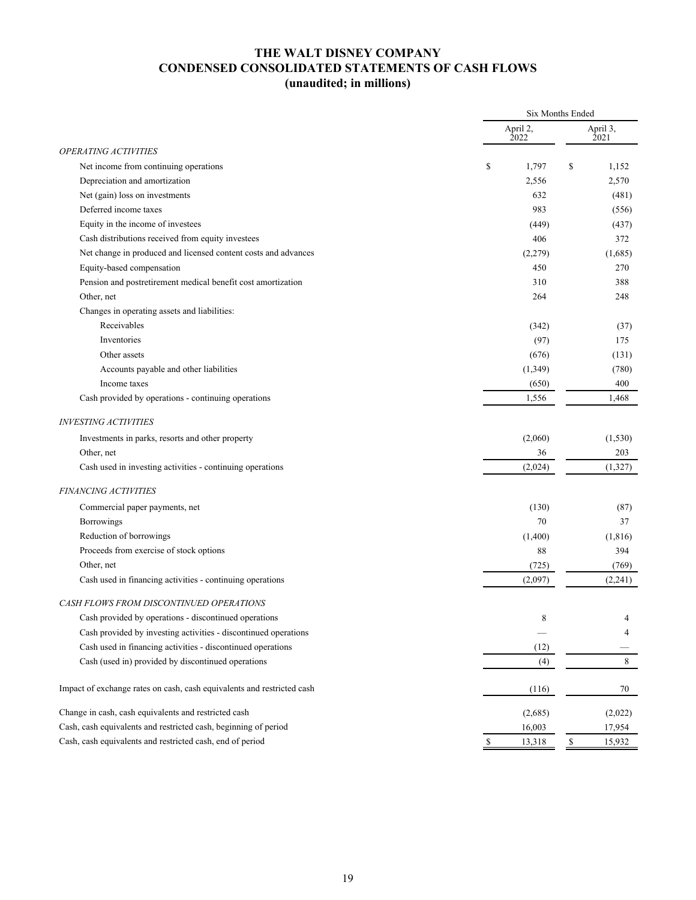## **THE WALT DISNEY COMPANY CONDENSED CONSOLIDATED STATEMENTS OF CASH FLOWS (unaudited; in millions)**

|                                                                        |                  | <b>Six Months Ended</b> |
|------------------------------------------------------------------------|------------------|-------------------------|
|                                                                        | April 2,<br>2022 | April 3,<br>2021        |
| <b>OPERATING ACTIVITIES</b>                                            |                  |                         |
| Net income from continuing operations                                  | \$<br>1,797      | \$<br>1,152             |
| Depreciation and amortization                                          | 2,556            | 2,570                   |
| Net (gain) loss on investments                                         | 632              | (481)                   |
| Deferred income taxes                                                  | 983              | (556)                   |
| Equity in the income of investees                                      | (449)            | (437)                   |
| Cash distributions received from equity investees                      | 406              | 372                     |
| Net change in produced and licensed content costs and advances         | (2,279)          | (1,685)                 |
| Equity-based compensation                                              | 450              | 270                     |
| Pension and postretirement medical benefit cost amortization           | 310              | 388                     |
| Other, net                                                             | 264              | 248                     |
| Changes in operating assets and liabilities:                           |                  |                         |
| Receivables                                                            | (342)            | (37)                    |
| Inventories                                                            | (97)             | 175                     |
| Other assets                                                           | (676)            | (131)                   |
| Accounts payable and other liabilities                                 | (1, 349)         | (780)                   |
| Income taxes                                                           | (650)            | 400                     |
| Cash provided by operations - continuing operations                    | 1,556            | 1,468                   |
| <b>INVESTING ACTIVITIES</b>                                            |                  |                         |
| Investments in parks, resorts and other property                       | (2,060)          | (1, 530)                |
| Other, net                                                             | 36               | 203                     |
| Cash used in investing activities - continuing operations              | (2,024)          | (1,327)                 |
| <b>FINANCING ACTIVITIES</b>                                            |                  |                         |
| Commercial paper payments, net                                         | (130)            | (87)                    |
| Borrowings                                                             | 70               | 37                      |
| Reduction of borrowings                                                | (1,400)          | (1, 816)                |
| Proceeds from exercise of stock options                                | 88               | 394                     |
| Other, net                                                             | (725)            | (769)                   |
| Cash used in financing activities - continuing operations              | (2,097)          | (2,241)                 |
| CASH FLOWS FROM DISCONTINUED OPERATIONS                                |                  |                         |
| Cash provided by operations - discontinued operations                  | 8                | 4                       |
| Cash provided by investing activities - discontinued operations        |                  | 4                       |
| Cash used in financing activities - discontinued operations            | (12)             |                         |
| Cash (used in) provided by discontinued operations                     | (4)              | $\,$ 8 $\,$             |
| Impact of exchange rates on cash, cash equivalents and restricted cash | (116)            | 70                      |
| Change in cash, cash equivalents and restricted cash                   | (2,685)          | (2,022)                 |
| Cash, cash equivalents and restricted cash, beginning of period        | 16,003           | 17,954                  |
| Cash, cash equivalents and restricted cash, end of period              | $\$$<br>13,318   | $\mathbb{S}$<br>15,932  |